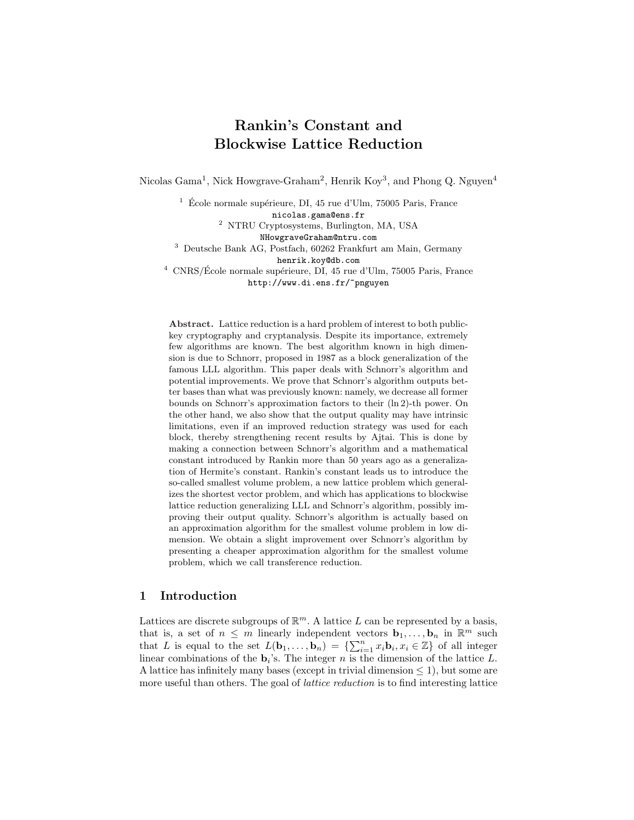# Rankin's Constant and Blockwise Lattice Reduction

Nicolas Gama<sup>1</sup>, Nick Howgrave-Graham<sup>2</sup>, Henrik Koy<sup>3</sup>, and Phong Q. Nguyen<sup>4</sup>

 $1\text{ }$  École normale supérieure, DI, 45 rue d'Ulm, 75005 Paris, France

nicolas.gama@ens.fr

<sup>2</sup> NTRU Cryptosystems, Burlington, MA, USA

NHowgraveGraham@ntru.com

<sup>3</sup> Deutsche Bank AG, Postfach, 60262 Frankfurt am Main, Germany

henrik.koy@db.com

 $4$  CNRS/École normale supérieure, DI, 45 rue d'Ulm, 75005 Paris, France http://www.di.ens.fr/~pnguyen

Abstract. Lattice reduction is a hard problem of interest to both publickey cryptography and cryptanalysis. Despite its importance, extremely few algorithms are known. The best algorithm known in high dimension is due to Schnorr, proposed in 1987 as a block generalization of the famous LLL algorithm. This paper deals with Schnorr's algorithm and potential improvements. We prove that Schnorr's algorithm outputs better bases than what was previously known: namely, we decrease all former bounds on Schnorr's approximation factors to their (ln 2)-th power. On the other hand, we also show that the output quality may have intrinsic limitations, even if an improved reduction strategy was used for each block, thereby strengthening recent results by Ajtai. This is done by making a connection between Schnorr's algorithm and a mathematical constant introduced by Rankin more than 50 years ago as a generalization of Hermite's constant. Rankin's constant leads us to introduce the so-called smallest volume problem, a new lattice problem which generalizes the shortest vector problem, and which has applications to blockwise lattice reduction generalizing LLL and Schnorr's algorithm, possibly improving their output quality. Schnorr's algorithm is actually based on an approximation algorithm for the smallest volume problem in low dimension. We obtain a slight improvement over Schnorr's algorithm by presenting a cheaper approximation algorithm for the smallest volume problem, which we call transference reduction.

# 1 Introduction

Lattices are discrete subgroups of  $\mathbb{R}^m$ . A lattice L can be represented by a basis, that is, a set of  $n \leq m$  linearly independent vectors  $\mathbf{b}_1, \ldots, \mathbf{b}_n$  in  $\mathbb{R}^m$  such that Is, a set of  $n \leq m$  infearly independent vectors  $\mathbf{b}_1, \ldots, \mathbf{b}_n$  in  $\mathbb{R}^m$  such that L is equal to the set  $L(\mathbf{b}_1, \ldots, \mathbf{b}_n) = \{\sum_{i=1}^n x_i \mathbf{b}_i, x_i \in \mathbb{Z}\}$  of all integer linear combinations of the  $\mathbf{b}_i$ 's. The integer n is the dimension of the lattice L. A lattice has infinitely many bases (except in trivial dimension  $\leq$  1), but some are more useful than others. The goal of *lattice reduction* is to find interesting lattice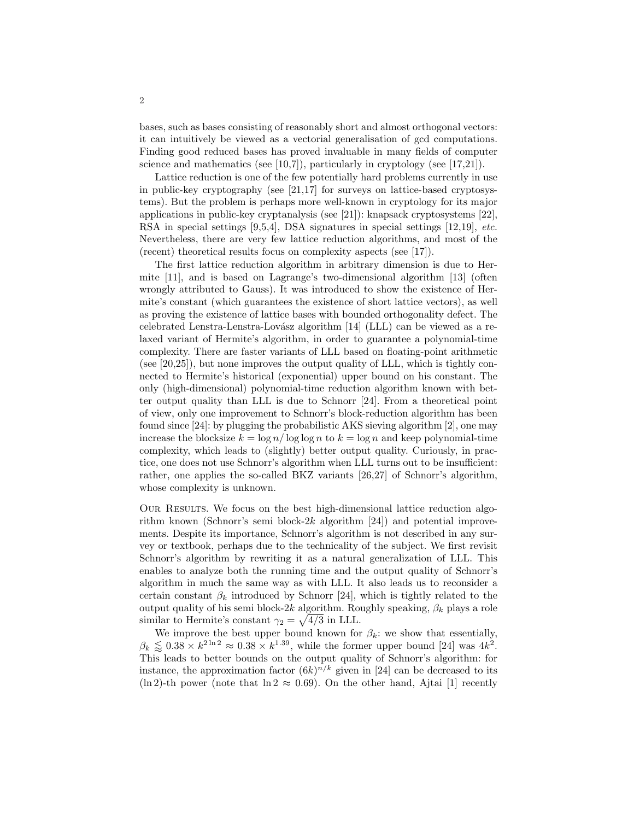bases, such as bases consisting of reasonably short and almost orthogonal vectors: it can intuitively be viewed as a vectorial generalisation of gcd computations. Finding good reduced bases has proved invaluable in many fields of computer science and mathematics (see  $[10,7]$ ), particularly in cryptology (see  $[17,21]$ ).

Lattice reduction is one of the few potentially hard problems currently in use in public-key cryptography (see [\[21,17\]](#page-17-0) for surveys on lattice-based cryptosystems). But the problem is perhaps more well-known in cryptology for its major applications in public-key cryptanalysis (see [\[21\]](#page-17-0)): knapsack cryptosystems [\[22\]](#page-17-0), RSA in special settings [\[9,5,4\]](#page-16-0), DSA signatures in special settings [\[12,](#page-16-0)[19\]](#page-17-0), etc. Nevertheless, there are very few lattice reduction algorithms, and most of the (recent) theoretical results focus on complexity aspects (see [\[17\]](#page-17-0)).

The first lattice reduction algorithm in arbitrary dimension is due to Hermite [\[11\]](#page-16-0), and is based on Lagrange's two-dimensional algorithm [\[13\]](#page-16-0) (often wrongly attributed to Gauss). It was introduced to show the existence of Hermite's constant (which guarantees the existence of short lattice vectors), as well as proving the existence of lattice bases with bounded orthogonality defect. The celebrated Lenstra-Lenstra-Lovász algorithm  $[14]$  (LLL) can be viewed as a relaxed variant of Hermite's algorithm, in order to guarantee a polynomial-time complexity. There are faster variants of LLL based on floating-point arithmetic (see [\[20,25\]](#page-17-0)), but none improves the output quality of LLL, which is tightly connected to Hermite's historical (exponential) upper bound on his constant. The only (high-dimensional) polynomial-time reduction algorithm known with better output quality than LLL is due to Schnorr [\[24\]](#page-17-0). From a theoretical point of view, only one improvement to Schnorr's block-reduction algorithm has been found since [\[24\]](#page-17-0): by plugging the probabilistic AKS sieving algorithm [\[2\]](#page-16-0), one may increase the blocksize  $k = \log n / \log \log n$  to  $k = \log n$  and keep polynomial-time complexity, which leads to (slightly) better output quality. Curiously, in practice, one does not use Schnorr's algorithm when LLL turns out to be insufficient: rather, one applies the so-called BKZ variants [\[26,27\]](#page-17-0) of Schnorr's algorithm, whose complexity is unknown.

Our Results. We focus on the best high-dimensional lattice reduction algorithm known (Schnorr's semi block- $2k$  algorithm [\[24\]](#page-17-0)) and potential improvements. Despite its importance, Schnorr's algorithm is not described in any survey or textbook, perhaps due to the technicality of the subject. We first revisit Schnorr's algorithm by rewriting it as a natural generalization of LLL. This enables to analyze both the running time and the output quality of Schnorr's algorithm in much the same way as with LLL. It also leads us to reconsider a certain constant  $\beta_k$  introduced by Schnorr [\[24\]](#page-17-0), which is tightly related to the output quality of his semi block-2k algorithm. Roughly speaking,  $\beta_k$  plays a role similar to Hermite's constant  $\gamma_2 = \sqrt{4/3}$  in LLL.

We improve the best upper bound known for  $\beta_k$ : we show that essentially,  $\beta_k \leq 0.38 \times k^{2\ln 2} \approx 0.38 \times k^{1.39}$ , while the former upper bound [\[24\]](#page-17-0) was  $4k^2$ . This leads to better bounds on the output quality of Schnorr's algorithm: for instance, the approximation factor  $(6k)^{n/k}$  given in [\[24\]](#page-17-0) can be decreased to its (ln 2)-th power (note that  $\ln 2 \approx 0.69$ ). On the other hand, Ajtai [\[1\]](#page-16-0) recently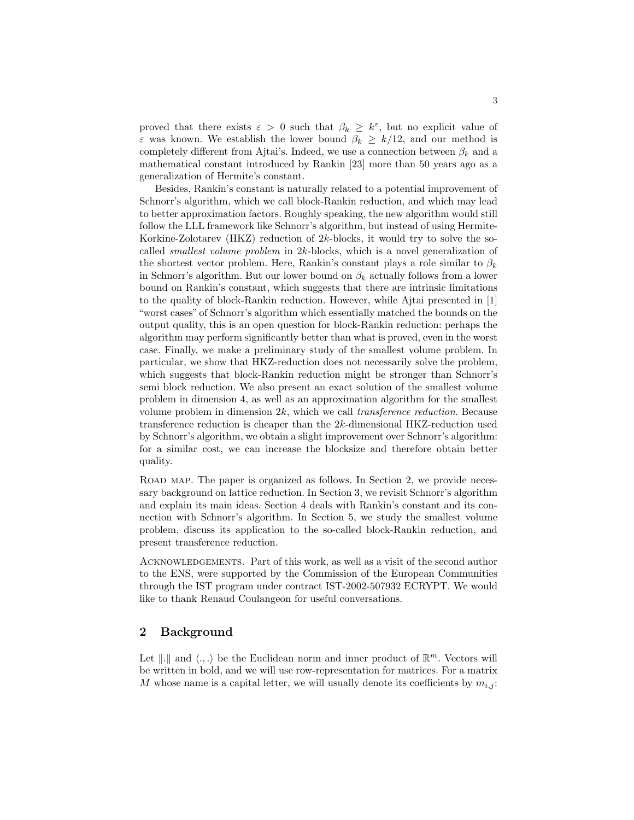proved that there exists  $\varepsilon > 0$  such that  $\beta_k \geq k^{\varepsilon}$ , but no explicit value of  $\varepsilon$  was known. We establish the lower bound  $\beta_k \geq k/12$ , and our method is completely different from Ajtai's. Indeed, we use a connection between  $\beta_k$  and a mathematical constant introduced by Rankin [\[23\]](#page-17-0) more than 50 years ago as a generalization of Hermite's constant.

Besides, Rankin's constant is naturally related to a potential improvement of Schnorr's algorithm, which we call block-Rankin reduction, and which may lead to better approximation factors. Roughly speaking, the new algorithm would still follow the LLL framework like Schnorr's algorithm, but instead of using Hermite-Korkine-Zolotarev (HKZ) reduction of 2k-blocks, it would try to solve the socalled *smallest volume problem* in  $2k$ -blocks, which is a novel generalization of the shortest vector problem. Here, Rankin's constant plays a role similar to  $\beta_k$ in Schnorr's algorithm. But our lower bound on  $\beta_k$  actually follows from a lower bound on Rankin's constant, which suggests that there are intrinsic limitations to the quality of block-Rankin reduction. However, while Ajtai presented in [\[1\]](#page-16-0) "worst cases" of Schnorr's algorithm which essentially matched the bounds on the output quality, this is an open question for block-Rankin reduction: perhaps the algorithm may perform significantly better than what is proved, even in the worst case. Finally, we make a preliminary study of the smallest volume problem. In particular, we show that HKZ-reduction does not necessarily solve the problem, which suggests that block-Rankin reduction might be stronger than Schnorr's semi block reduction. We also present an exact solution of the smallest volume problem in dimension 4, as well as an approximation algorithm for the smallest volume problem in dimension  $2k$ , which we call *transference reduction*. Because transference reduction is cheaper than the 2k-dimensional HKZ-reduction used by Schnorr's algorithm, we obtain a slight improvement over Schnorr's algorithm: for a similar cost, we can increase the blocksize and therefore obtain better quality.

ROAD MAP. The paper is organized as follows. In Section 2, we provide necessary background on lattice reduction. In Section [3,](#page-5-0) we revisit Schnorr's algorithm and explain its main ideas. Section [4](#page-8-0) deals with Rankin's constant and its connection with Schnorr's algorithm. In Section [5,](#page-10-0) we study the smallest volume problem, discuss its application to the so-called block-Rankin reduction, and present transference reduction.

Acknowledgements. Part of this work, as well as a visit of the second author to the ENS, were supported by the Commission of the European Communities through the IST program under contract IST-2002-507932 ECRYPT. We would like to thank Renaud Coulangeon for useful conversations.

# 2 Background

Let  $\| \cdot \|$  and  $\langle \cdot, \cdot \rangle$  be the Euclidean norm and inner product of  $\mathbb{R}^m$ . Vectors will be written in bold, and we will use row-representation for matrices. For a matrix M whose name is a capital letter, we will usually denote its coefficients by  $m_{i,j}$ :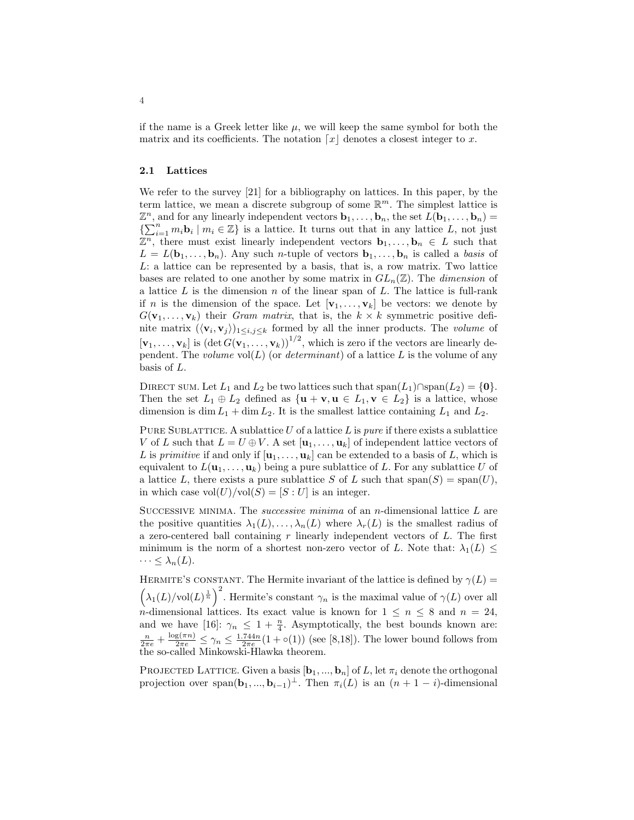if the name is a Greek letter like  $\mu$ , we will keep the same symbol for both the matrix and its coefficients. The notation  $\lceil x \rceil$  denotes a closest integer to x.

#### 2.1 Lattices

We refer to the survey [\[21\]](#page-17-0) for a bibliography on lattices. In this paper, by the term lattice, we mean a discrete subgroup of some  $\mathbb{R}^m$ . The simplest lattice is  $\mathbb{Z}^n$ , and for any linearly independent vectors  $\mathbf{b}_1, \ldots, \mathbf{b}_n$ , the set  $L(\mathbf{b}_1, \ldots, \mathbf{b}_n)$  $\{\sum_{i=1}^n m_i \mathbf{b}_i \mid m_i \in \mathbb{Z}\}\$  is a lattice. It turns out that in any lattice L, not just  $\mathbb{Z}^n$ , there must exist linearly independent vectors  $\mathbf{b}_1, \ldots, \mathbf{b}_n \in L$  such that  $L = L(\mathbf{b}_1, \ldots, \mathbf{b}_n)$ . Any such *n*-tuple of vectors  $\mathbf{b}_1, \ldots, \mathbf{b}_n$  is called a basis of L: a lattice can be represented by a basis, that is, a row matrix. Two lattice bases are related to one another by some matrix in  $GL_n(\mathbb{Z})$ . The *dimension* of a lattice  $L$  is the dimension  $n$  of the linear span of  $L$ . The lattice is full-rank if n is the dimension of the space. Let  $[\mathbf{v}_1, \ldots, \mathbf{v}_k]$  be vectors: we denote by  $G(\mathbf{v}_1,\ldots,\mathbf{v}_k)$  their *Gram matrix*, that is, the  $k \times k$  symmetric positive definite matrix  $(\langle v_i, v_j \rangle)_{1 \leq i,j \leq k}$  formed by all the inner products. The *volume* of  $[\mathbf{v}_1,\ldots,\mathbf{v}_k]$  is  $(\det G(\mathbf{v}_1,\ldots,\mathbf{v}_k))^{1/2}$ , which is zero if the vectors are linearly dependent. The volume  $vol(L)$  (or determinant) of a lattice L is the volume of any basis of L.

DIRECT SUM. Let  $L_1$  and  $L_2$  be two lattices such that  $\text{span}(L_1) \cap \text{span}(L_2) = \{0\}.$ Then the set  $L_1 \oplus L_2$  defined as  $\{ \mathbf{u} + \mathbf{v}, \mathbf{u} \in L_1, \mathbf{v} \in L_2 \}$  is a lattice, whose dimension is dim  $L_1$  + dim  $L_2$ . It is the smallest lattice containing  $L_1$  and  $L_2$ .

PURE SUBLATTICE. A sublattice  $U$  of a lattice  $L$  is *pure* if there exists a sublattice V of L such that  $L = U \oplus V$ . A set  $[\mathbf{u}_1, \dots, \mathbf{u}_k]$  of independent lattice vectors of L is primitive if and only if  $[\mathbf{u}_1, \dots, \mathbf{u}_k]$  can be extended to a basis of L, which is equivalent to  $L(\mathbf{u}_1, \ldots, \mathbf{u}_k)$  being a pure sublattice of L. For any sublattice U of a lattice L, there exists a pure sublattice S of L such that  $\text{span}(S) = \text{span}(U)$ , in which case  $vol(U)/vol(S) = [S:U]$  is an integer.

SUCCESSIVE MINIMA. The *successive minima* of an *n*-dimensional lattice  $L$  are the positive quantities  $\lambda_1(L), \ldots, \lambda_n(L)$  where  $\lambda_r(L)$  is the smallest radius of a zero-centered ball containing  $r$  linearly independent vectors of  $L$ . The first minimum is the norm of a shortest non-zero vector of L. Note that:  $\lambda_1(L) \leq$  $\cdots \leq \lambda_n(L)$ .

HERMITE'S CONSTANT. The Hermite invariant of the lattice is defined by  $\gamma(L)$  =  $\ddot{\phantom{0}}$ ERMITE 3 CONST $\lambda_1(L)/\text{vol}(L)^{\frac{1}{n}}$ . Hermite's constant  $\gamma_n$  is the maximal value of  $\gamma(L)$  over all n-dimensional lattices. Its exact value is known for  $1 \leq n \leq 8$  and  $n = 24$ , and we have [\[16\]](#page-16-0):  $\gamma_n \leq 1 + \frac{n}{4}$ . Asymptotically, the best bounds known are:  $\frac{n}{2\pi e} + \frac{\log(\pi n)}{2\pi e} \leq \gamma_n \leq \frac{1.744n}{2\pi e} (1 + o(1))$  (see [\[8,](#page-16-0)[18\]](#page-17-0)). The lower bound follows from the so-called Minkowski-Hlawka theorem.

PROJECTED LATTICE. Given a basis  $[\mathbf{b}_1, ..., \mathbf{b}_n]$  of L, let  $\pi_i$  denote the orthogonal projection over span $(\mathbf{b}_1, ..., \mathbf{b}_{i-1})^{\perp}$ . Then  $\pi_i(L)$  is an  $(n + 1 - i)$ -dimensional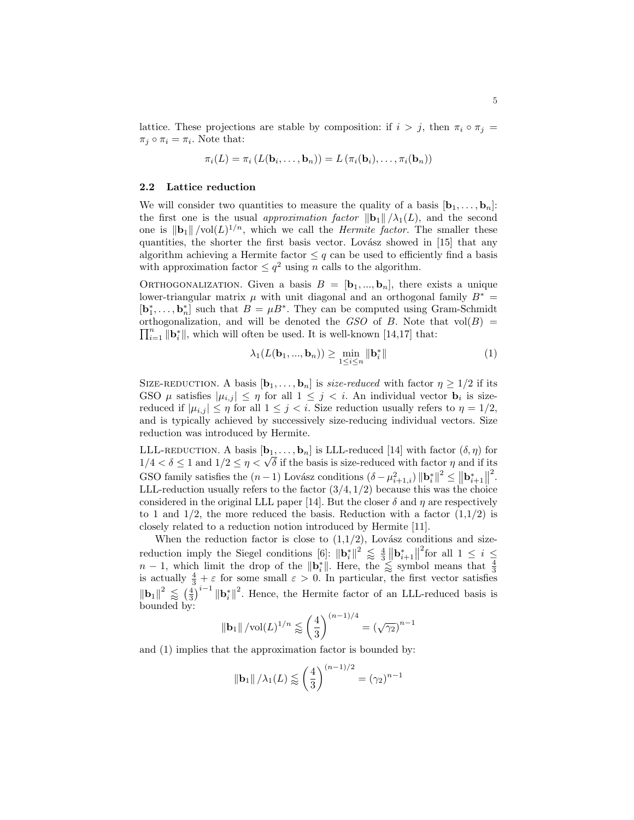<span id="page-4-0"></span>lattice. These projections are stable by composition: if  $i > j$ , then  $\pi_i \circ \pi_j =$  $\pi_j \circ \pi_i = \pi_i$ . Note that:

$$
\pi_i(L) = \pi_i(L(\mathbf{b}_i,\ldots,\mathbf{b}_n)) = L(\pi_i(\mathbf{b}_i),\ldots,\pi_i(\mathbf{b}_n))
$$

#### 2.2 Lattice reduction

We will consider two quantities to measure the quality of a basis  $[\mathbf{b}_1, \ldots, \mathbf{b}_n]$ : the first one is the usual approximation factor  $\|\mathbf{b}_1\|/\lambda_1(L)$ , and the second one is  $\|\mathbf{b}_1\|/\text{vol}(L)^{1/n}$ , which we call the *Hermite factor*. The smaller these quantities, the shorter the first basis vector. Lovász showed in  $[15]$  that any algorithm achieving a Hermite factor  $\leq q$  can be used to efficiently find a basis with approximation factor  $\leq q^2$  using n calls to the algorithm.

ORTHOGONALIZATION. Given a basis  $B = [\mathbf{b}_1, ..., \mathbf{b}_n]$ , there exists a unique lower-triangular matrix  $\mu$  with unit diagonal and an orthogonal family  $B^* =$  $[\mathbf{b}_1^*, \ldots, \mathbf{b}_n^*]$  such that  $B = \mu B^*$ . They can be computed using Gram-Schmidt orthogonalization, and will be denoted the GSO of B. Note that  $vol(B) = \nabla^n$  $\sum_{i=1}^{n} \|\mathbf{b}_{i}^{*}\|$ , which will often be used. It is well-known [\[14,](#page-16-0)[17\]](#page-17-0) that:

$$
\lambda_1(L(\mathbf{b}_1, ..., \mathbf{b}_n)) \ge \min_{1 \le i \le n} \|\mathbf{b}_i^*\|
$$
 (1)

SIZE-REDUCTION. A basis  $[\mathbf{b}_1, \ldots, \mathbf{b}_n]$  is size-reduced with factor  $\eta \geq 1/2$  if its GSO  $\mu$  satisfies  $|\mu_{i,j}| \leq \eta$  for all  $1 \leq j < i$ . An individual vector  $\mathbf{b}_i$  is sizereduced if  $|\mu_{i,j}| \leq \eta$  for all  $1 \leq j < i$ . Size reduction usually refers to  $\eta = 1/2$ , and is typically achieved by successively size-reducing individual vectors. Size reduction was introduced by Hermite.

LLL-REDUCTION. A basis  $[\mathbf{b}_1, \ldots, \mathbf{b}_n]$  is LLL-reduced [\[14\]](#page-16-0) with factor  $(\delta, \eta)$  for LLL-REDUCTION. A basis  $[\mathbf{b}_1, \dots, \mathbf{b}_n]$  is LLL-reduced [14] with factor  $(0, \eta)$  for  $1/4 < \delta \leq 1$  and  $1/2 \leq \eta < \sqrt{\delta}$  if the basis is size-reduced with factor  $\eta$  and if its GSO family satisfies the  $(n-1)$  Lovász conditions  $(\delta - \mu_{i+1,i}^2) ||\mathbf{b}_i^*||^2 \le ||\mathbf{b}_{i+1}^*||$  $\frac{1}{3}$ LLL-reduction usually refers to the factor  $(3/4, 1/2)$  because this was the choice considered in the original LLL paper [\[14\]](#page-16-0). But the closer  $\delta$  and  $\eta$  are respectively to 1 and  $1/2$ , the more reduced the basis. Reduction with a factor  $(1,1/2)$  is closely related to a reduction notion introduced by Hermite [\[11\]](#page-16-0).

When the reduction factor is close to  $(1,1/2)$ , Lovász conditions and size-reduction imply the Siegel conditions [\[6\]](#page-16-0):  $\|\mathbf{b}_{i}^{*}\|^{2} \leq \frac{4}{3}$  $\mathbf{a}$ sz u  $\int_{0}^{2}$  for all  $1 \leq i \leq$  $n-1$ , which limit the drop of the  $\|\mathbf{b}_i^*\|$ . Here, the  $\leq$  symbol means that  $\frac{4}{3}$  is actually  $\frac{4}{3} + \varepsilon$  for some small  $\varepsilon > 0$ . In particular, the first vector satisfies  $\|\mathbf{b}_1\|^2 \lessapprox \left(\frac{4}{3}\right)$  $\int_0^{\infty}$ i−1 ||**b**<sub>i</sub><sup>\*</sup>|<sup>2</sup>. Hence, the Hermite factor of an LLL-reduced basis is bounded by:

$$
\|\mathbf{b}_1\| / \mathrm{vol}(L)^{1/n} \lessapprox \left(\frac{4}{3}\right)^{(n-1)/4} = \left(\sqrt{\gamma_2}\right)^{n-1}
$$

and (1) implies that the approximation factor is bounded by:

$$
\left\Vert \mathbf{b}_{1}\right\Vert /\lambda_{1}(L)\lessapprox\left(\frac{4}{3}\right)^{(n-1)/2}=(\gamma_{2})^{n-1}
$$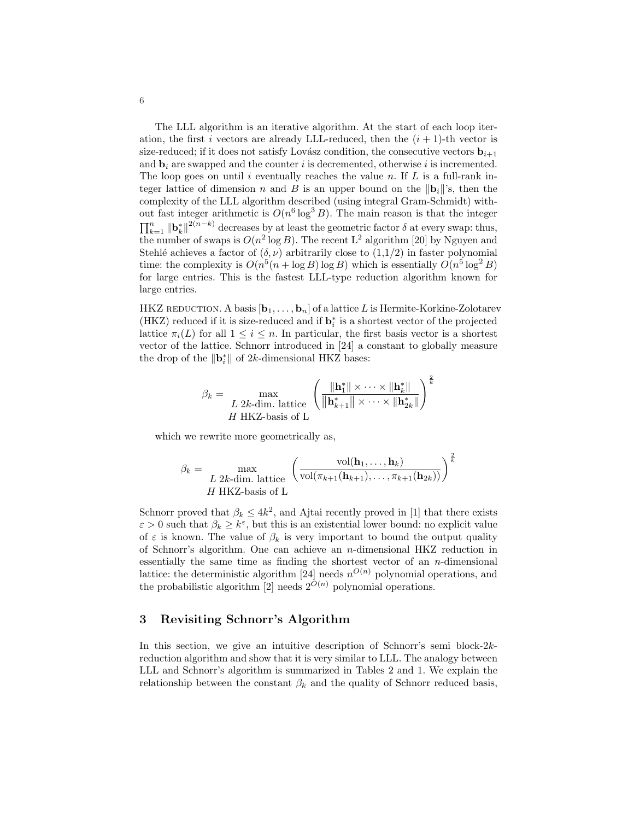<span id="page-5-0"></span>The LLL algorithm is an iterative algorithm. At the start of each loop iteration, the first i vectors are already LLL-reduced, then the  $(i + 1)$ -th vector is size-reduced; if it does not satisfy Lovász condition, the consecutive vectors  $\mathbf{b}_{i+1}$ and  $\mathbf{b}_i$  are swapped and the counter i is decremented, otherwise i is incremented. The loop goes on until i eventually reaches the value n. If  $L$  is a full-rank integer lattice of dimension n and B is an upper bound on the  $\|\mathbf{b}_i\|$ 's, then the complexity of the LLL algorithm described (using integral Gram-Schmidt) without fast integer arithmetic is  $O(n^6 \log^3 B)$ . The main reason is that the integer out last metget attenuate is  $O(n \log D)$ . The main reason is that the integer  $\prod_{k=1}^{n} ||\mathbf{b}_{k}^{*}||^{2(n-k)}$  decreases by at least the geometric factor  $\delta$  at every swap: thus, the number of swaps is  $O(n^2 \log B)$ . The recent  $L^2$  algorithm [\[20\]](#page-17-0) by Nguyen and Stehlé achieves a factor of  $(\delta, \nu)$  arbitrarily close to  $(1,1/2)$  in faster polynomial time: the complexity is  $O(n^5(n + \log B) \log B)$  which is essentially  $O(n^5 \log^2 B)$ for large entries. This is the fastest LLL-type reduction algorithm known for large entries.

HKZ REDUCTION. A basis  $[\mathbf{b}_1, \ldots, \mathbf{b}_n]$  of a lattice L is Hermite-Korkine-Zolotarev (HKZ) reduced if it is size-reduced and if  $\mathbf{b}_i^*$  is a shortest vector of the projected lattice  $\pi_i(L)$  for all  $1 \leq i \leq n$ . In particular, the first basis vector is a shortest vector of the lattice. Schnorr introduced in [\[24\]](#page-17-0) a constant to globally measure the drop of the  $\|\mathbf{b}_i^*\|$  of 2k-dimensional HKZ bases:

$$
\beta_k = \max_{\substack{L \ 2k\text{-dim. lattice} \\ H \text{ HKZ-basis of L}} \left( \frac{\|\mathbf{h}_1^*\| \times \cdots \times \|\mathbf{h}_k^*\|}{\|\mathbf{h}_{k+1}^*\| \times \cdots \times \|\mathbf{h}_{2k}^*\|} \right)^{\frac{2}{k}}
$$

which we rewrite more geometrically as,

$$
\beta_k = \max_{\substack{L \ 2k\text{-dim. lattice} \\ H \text{ HKZ-basis of L}}} \left( \frac{\text{vol}(\mathbf{h}_1, \dots, \mathbf{h}_k)}{\text{vol}(\pi_{k+1}(\mathbf{h}_{k+1}), \dots, \pi_{k+1}(\mathbf{h}_{2k}))} \right)^{\frac{2}{k}}
$$

Schnorr proved that  $\beta_k \leq 4k^2$ , and Ajtai recently proved in [\[1\]](#page-16-0) that there exists  $\varepsilon > 0$  such that  $\beta_k \geq k^{\varepsilon}$ , but this is an existential lower bound: no explicit value of  $\varepsilon$  is known. The value of  $\beta_k$  is very important to bound the output quality of Schnorr's algorithm. One can achieve an n-dimensional HKZ reduction in essentially the same time as finding the shortest vector of an  $n$ -dimensional lattice: the deterministic algorithm [\[24\]](#page-17-0) needs  $n^{O(n)}$  polynomial operations, and the probabilistic algorithm [\[2\]](#page-16-0) needs  $2^{\tilde{O}(n)}$  polynomial operations.

# 3 Revisiting Schnorr's Algorithm

In this section, we give an intuitive description of Schnorr's semi block-2kreduction algorithm and show that it is very similar to LLL. The analogy between LLL and Schnorr's algorithm is summarized in Tables [2](#page-7-0) and [1.](#page-6-0) We explain the relationship between the constant  $\beta_k$  and the quality of Schnorr reduced basis,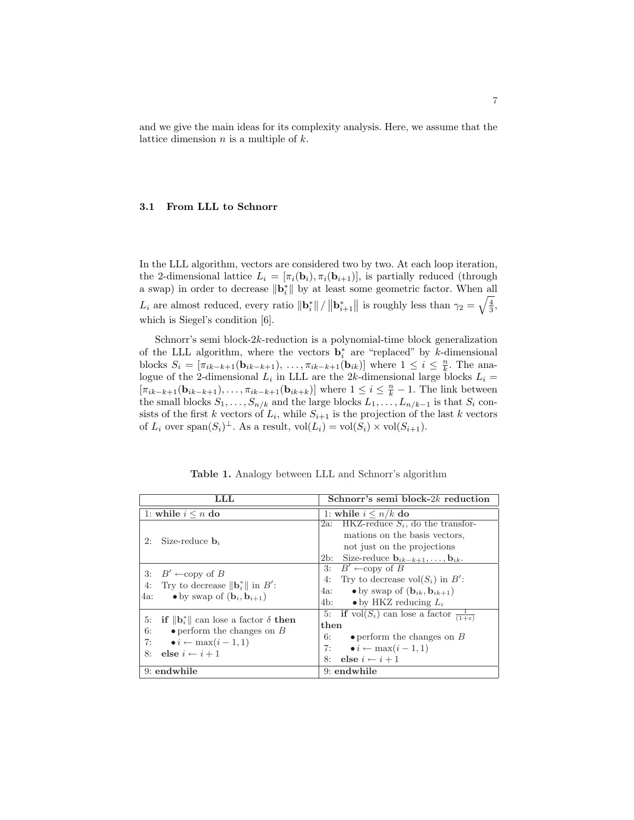<span id="page-6-0"></span>and we give the main ideas for its complexity analysis. Here, we assume that the lattice dimension  $n$  is a multiple of  $k$ .

#### 3.1 From LLL to Schnorr

In the LLL algorithm, vectors are considered two by two. At each loop iteration, the 2-dimensional lattice  $L_i = [\pi_i(\mathbf{b}_i), \pi_i(\mathbf{b}_{i+1})]$ , is partially reduced (through a swap) in order to decrease  $\|\mathbf{b}_{i}^{*}\|$  by at least some geometric factor. When all  $L_i$  are almost reduced, every ratio  $\|\mathbf{b}_i^*\|$  /  $\|\mathbf{b}_{i+1}^*$ || is roughly less than  $\gamma_2 = \sqrt{\frac{4}{3}}$ , which is Siegel's condition [\[6\]](#page-16-0).

Schnorr's semi block- $2k$ -reduction is a polynomial-time block generalization of the LLL algorithm, where the vectors  $\mathbf{b}_i^*$  are "replaced" by k-dimensional blocks  $S_i = [\pi_{ik-k+1}(\mathbf{b}_{ik-k+1}), \ldots, \pi_{ik-k+1}(\mathbf{b}_{ik})]$  where  $1 \leq i \leq \frac{n}{k}$ . The analogue of the 2-dimensional  $L_i$  in LLL are the 2k-dimensional large blocks  $L_i =$  $[\pi_{ik-k+1}(\mathbf{b}_{ik-k+1}), \ldots, \pi_{ik-k+1}(\mathbf{b}_{ik+k})]$  where  $1 \leq i \leq \frac{n}{k} - 1$ . The link between the small blocks  $S_1, \ldots, S_{n/k}$  and the large blocks  $L_1, \ldots, L_{n/k-1}$  is that  $S_i$  consists of the first k vectors of  $L_i$ , while  $S_{i+1}$  is the projection of the last k vectors of  $L_i$  over span $(S_i)^{\perp}$ . As a result,  $vol(L_i) = vol(S_i) \times vol(S_{i+1})$ .

| ${\rm LLL}$                                                                                                                                                                                       | Schnorr's semi block- $2k$ reduction                                                                                                                                                        |  |  |
|---------------------------------------------------------------------------------------------------------------------------------------------------------------------------------------------------|---------------------------------------------------------------------------------------------------------------------------------------------------------------------------------------------|--|--|
| 1: while $i \leq n$ do                                                                                                                                                                            | 1: while $i \leq n/k$ do                                                                                                                                                                    |  |  |
| Size-reduce $\mathbf{b}_i$<br>2:                                                                                                                                                                  | 2a: HKZ-reduce $S_i$ , do the transfor-<br>mations on the basis vectors,<br>not just on the projections<br>Size-reduce $\mathbf{b}_{ik-k+1}, \ldots, \mathbf{b}_{ik}$ .<br>2b:              |  |  |
| $B' \leftarrow$ copy of B<br>3:<br>Try to decrease $\ \mathbf{b}_{i}^{*}\ $ in $B'$ :<br>4:<br>$\bullet$ by swap of $(\mathbf{b}_i, \mathbf{b}_{i+1})$<br>4a:                                     | $B' \leftarrow$ copy of B<br>3:<br>Try to decrease $vol(S_i)$ in B':<br>4:<br>$\bullet$ by swap of $(b_{ik}, b_{ik+1})$<br>4a:<br>4b:<br>$\bullet$ by HKZ reducing $L_i$                    |  |  |
| 5:<br><b>if</b> $\ \mathbf{b}_i^*\ $ can lose a factor $\delta$ then<br>$\bullet$ perform the changes on $B$<br>6:<br>$\bullet i \leftarrow \max(i-1,1)$<br>7:<br>else $i \leftarrow i + 1$<br>8: | 5: if $vol(S_i)$ can lose a factor $\frac{1}{(1+\varepsilon)}$<br>then<br>$\bullet$ perform the changes on $B$<br>6:<br>7: $\bullet i \leftarrow \max(i-1,1)$<br>8: else $i \leftarrow i+1$ |  |  |
| 9: endwhile                                                                                                                                                                                       | 9: endwhile                                                                                                                                                                                 |  |  |

Table 1. Analogy between LLL and Schnorr's algorithm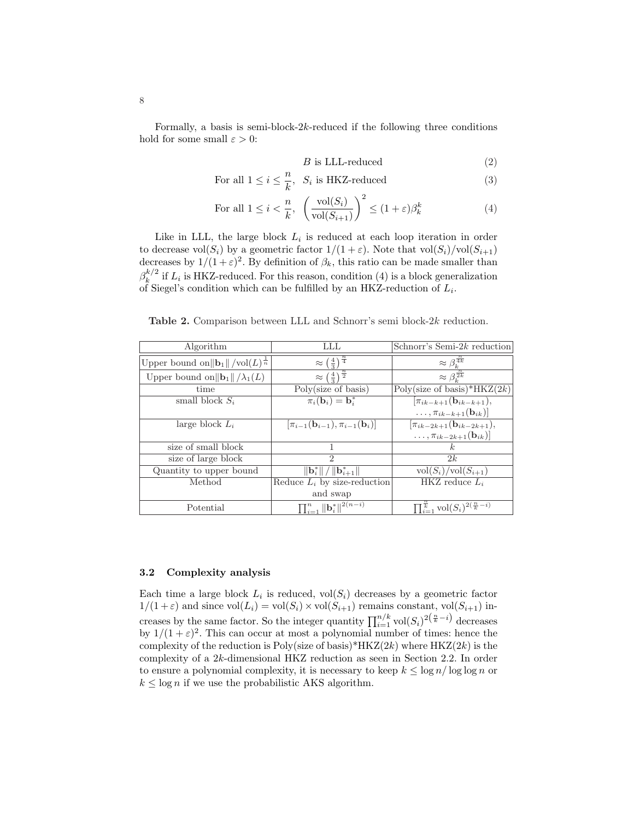<span id="page-7-0"></span>Formally, a basis is semi-block- $2k$ -reduced if the following three conditions hold for some small  $\varepsilon > 0$ :

$$
B \text{ is LLL-reduced} \tag{2}
$$

For all 
$$
1 \leq i \leq \frac{n}{k}
$$
,  $S_i$  is HKZ-reduced (3)

For all 
$$
1 \leq i < \frac{n}{k}
$$
,  $\left(\frac{\text{vol}(S_i)}{\text{vol}(S_{i+1})}\right)^2 \leq (1+\varepsilon)\beta_k^k$  (4)

Like in LLL, the large block  $L_i$  is reduced at each loop iteration in order to decrease vol $(S_i)$  by a geometric factor  $1/(1+\varepsilon)$ . Note that vol $(S_i)/\text{vol}(S_{i+1})$ decreases by  $1/(1+\varepsilon)^2$ . By definition of  $\beta_k$ , this ratio can be made smaller than  $\beta_k^{k/2}$  $\frac{k}{k}$  if  $L_i$  is HKZ-reduced. For this reason, condition (4) is a block generalization of Siegel's condition which can be fulfilled by an HKZ-reduction of  $L_i$ .

Table 2. Comparison between LLL and Schnorr's semi block-2k reduction.

| Algorithm                                                     | LLL                                                                                    | Schnorr's Semi-2k reduction                                 |
|---------------------------------------------------------------|----------------------------------------------------------------------------------------|-------------------------------------------------------------|
| Upper bound on $\ \mathbf{b}_1\ /\text{vol}(L)^{\frac{1}{n}}$ | $\approx \left(\frac{4}{3}\right)^{\frac{n}{4}}$                                       | $\approx \beta_k^{\frac{n}{4k}}$                            |
| Upper bound on $  \mathbf{b}_1   / \lambda_1(L)$              | $\approx \left(\frac{4}{3}\right)^{\frac{n}{2}}$                                       | $\approx \beta_k^{\frac{n}{2k}}$                            |
| time                                                          | Poly(size of basis)                                                                    | Poly(size of basis)*HKZ $(2k)$                              |
| small block $S_i$                                             | $\pi_i(\mathbf{b}_i) = \mathbf{b}_i^*$                                                 | $\pi_{ik-k+1}({\bf b}_{ik-k+1}),$                           |
|                                                               |                                                                                        | $\ldots, \pi_{ik-k+1}(\mathbf{b}_{ik})$                     |
| large block $L_i$                                             | $[\pi_{i-1}({\bf b}_{i-1}), \pi_{i-1}({\bf b}_i)]$                                     | $[\pi_{ik-2k+1}(\mathbf{b}_{ik-2k+1}),$                     |
|                                                               |                                                                                        | $\ldots, \pi_{ik-2k+1}(\mathbf{b}_{ik})]$                   |
| size of small block                                           |                                                                                        | k.                                                          |
| size of large block                                           | $\mathcal{D}_{\mathcal{L}}$                                                            | 2k                                                          |
| Quantity to upper bound                                       | $\left\Vert \mathbf{b}_{i}^{*}\right\Vert /\left\Vert \mathbf{b}_{i+1}^{*}\right\Vert$ | $\operatorname{vol}(S_i)/\operatorname{vol}(S_{i+1})$       |
| Method                                                        | Reduce $L_i$ by size-reduction                                                         | HKZ reduce $L_i$                                            |
|                                                               | and swap                                                                               |                                                             |
| Potential                                                     | $\prod_{i=1}^n \ \mathbf{b}_i^*\ ^{2(n-i)}$                                            | $\prod_{i=1}^{\overline{k}}$ vol $(S_i)^{2(\frac{n}{k}-i)}$ |

#### 3.2 Complexity analysis

Each time a large block  $L_i$  is reduced,  $vol(S_i)$  decreases by a geometric factor  $1/(1+\varepsilon)$  and since  $\text{vol}(L_i) = \text{vol}(S_i) \times \text{vol}(S_{i+1})$  remains constant,  $\text{vol}(S_{i+1})$  increases by the same factor. So the integer quantity  $\prod_{i=1}^{n/k} \text{vol}(S_i)^{2(\frac{n}{k}-i)}$  decreases by  $1/(1+\varepsilon)^2$ . This can occur at most a polynomial number of times: hence the complexity of the reduction is Poly(size of basis)\*HKZ(2k) where  $HKZ(2k)$  is the complexity of a 2k-dimensional HKZ reduction as seen in Section [2.2.](#page-4-0) In order to ensure a polynomial complexity, it is necessary to keep  $k \leq \log n / \log \log n$  or  $k \leq \log n$  if we use the probabilistic AKS algorithm.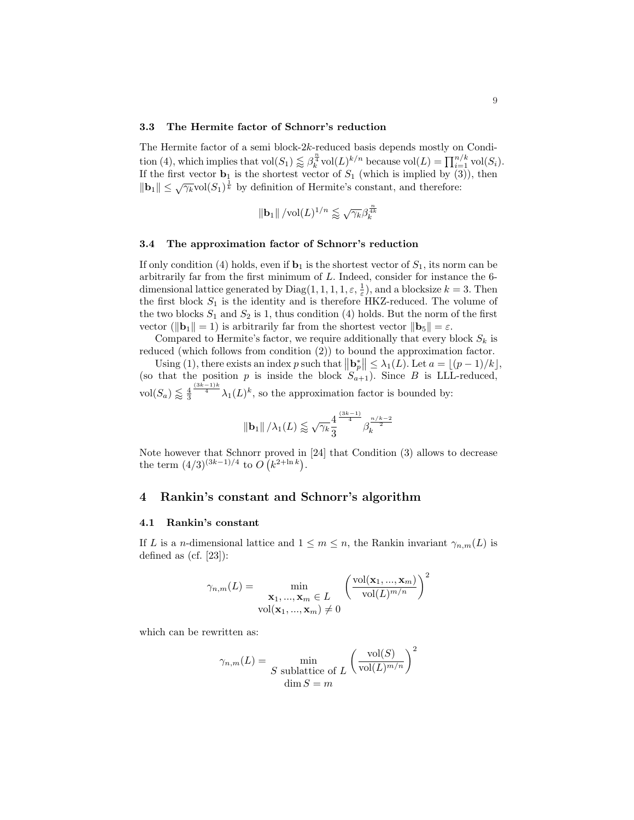#### <span id="page-8-0"></span>3.3 The Hermite factor of Schnorr's reduction

The Hermite factor of a semi block-2k-reduced basis depends mostly on Condi-The Termine ration of a semi-block  $2\pi$  reduced basis depends mostly on  $\cosh$ .<br>
tion [\(4\)](#page-7-0), which implies that  $\text{vol}(S_1) \lesssim \beta_k^{\frac{n}{4}} \text{vol}(L)^{k/n}$  because  $\text{vol}(L) = \prod_{i=1}^{n/k} \text{vol}(S_i)$ . If the first vector  $\mathbf{b}_1$  is the shortest vector of  $S_1$  (which is implied by [\(3\)](#page-7-0)), then  $\|\mathbf{b}_1\| \leq \sqrt{\gamma_k} \text{vol}(S_1)^{\frac{1}{k}}$  by definition of Hermite's constant, and therefore:

$$
\|\mathbf{b}_1\| / \mathrm{vol}(L)^{1/n} \lessapprox \sqrt{\gamma_k} \beta_k^{\frac{n}{4k}}
$$

#### 3.4 The approximation factor of Schnorr's reduction

If only condition [\(4\)](#page-7-0) holds, even if  $\mathbf{b}_1$  is the shortest vector of  $S_1$ , its norm can be arbitrarily far from the first minimum of L. Indeed, consider for instance the 6 dimensional lattice generated by  $\text{Diag}(1, 1, 1, 1, \varepsilon, \frac{1}{\varepsilon})$ , and a blocksize  $k = 3$ . Then the first block  $S_1$  is the identity and is therefore HKZ-reduced. The volume of the two blocks  $S_1$  and  $S_2$  is 1, thus condition [\(4\)](#page-7-0) holds. But the norm of the first vector ( $\|\mathbf{b}_1\| = 1$ ) is arbitrarily far from the shortest vector  $\|\mathbf{b}_5\| = \varepsilon$ .

Compared to Hermite's factor, we require additionally that every block  $S_k$  is reduced (which follows from condition  $(2)$ ) to bound the approximation factor.

Using [\(1\)](#page-4-0), there exists an index p such that  $\|\mathbf{b}_p^*\| \leq \lambda_1(L)$ . Let  $a = \lfloor (p-1)/k \rfloor$ , (so that the position p is inside the block  $S_{a+1}$ ). Since B is LLL-reduced,  $vol(S_a) \lessapprox \frac{4}{3}$  $\frac{(3k-1)k}{4}\lambda_1(L)^k$ , so the approximation factor is bounded by:

$$
\left\Vert \mathbf{b}_{1}\right\Vert / \lambda_{1}(L) \lessapprox \sqrt{\gamma_{k}}\frac{4}{3}^{\frac{\left(3k-1\right)}{4}}\beta_{k}^{\frac{n/k-2}{2}}
$$

Note however that Schnorr proved in [\[24\]](#page-17-0) that Condition [\(3\)](#page-7-0) allows to decrease the term  $(4/3)^{(3k-1)/4}$  to O ¡ rovea 11: $k^{2+\ln k})$ .

## 4 Rankin's constant and Schnorr's algorithm

#### 4.1 Rankin's constant

If L is a n-dimensional lattice and  $1 \leq m \leq n$ , the Rankin invariant  $\gamma_{n,m}(L)$  is defined as (cf. [\[23\]](#page-17-0)):

$$
\gamma_{n,m}(L) = \min_{\substack{\mathbf{x}_1, ..., \mathbf{x}_m \in L \\ \text{vol}(\mathbf{x}_1, ..., \mathbf{x}_m) \neq 0}} \left(\frac{\text{vol}(\mathbf{x}_1, ..., \mathbf{x}_m)}{\text{vol}(L)^{m/n}}\right)^2
$$

which can be rewritten as:

$$
\gamma_{n,m}(L) = \min_{\substack{S \text{ sublattice of } L}} \left(\frac{\text{vol}(S)}{\text{vol}(L)^{m/n}}\right)^2
$$

$$
\dim S = m
$$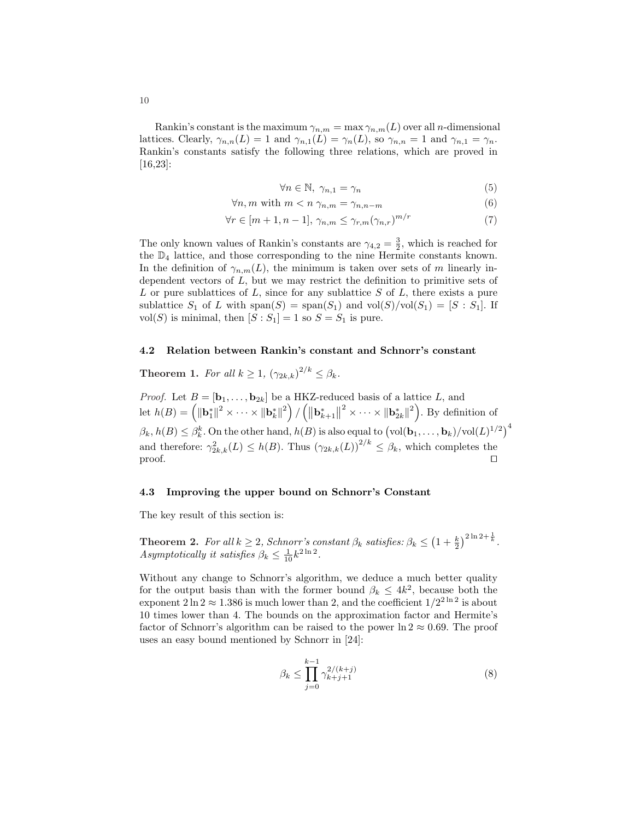<span id="page-9-0"></span>Rankin's constant is the maximum  $\gamma_{n,m} = \max \gamma_{n,m}(L)$  over all n-dimensional lattices. Clearly,  $\gamma_{n,n}(L) = 1$  and  $\gamma_{n,1}(L) = \gamma_n(L)$ , so  $\gamma_{n,n} = 1$  and  $\gamma_{n,1} = \gamma_n$ . Rankin's constants satisfy the following three relations, which are proved in [\[16](#page-16-0)[,23\]](#page-17-0):

$$
\forall n \in \mathbb{N}, \ \gamma_{n,1} = \gamma_n \tag{5}
$$

$$
\forall n, m \text{ with } m < n \, \gamma_{n,m} = \gamma_{n,n-m} \tag{6}
$$

$$
\forall r \in [m+1, n-1], \ \gamma_{n,m} \le \gamma_{r,m} (\gamma_{n,r})^{m/r} \tag{7}
$$

The only known values of Rankin's constants are  $\gamma_{4,2} = \frac{3}{2}$ , which is reached for the  $\mathbb{D}_4$  lattice, and those corresponding to the nine Hermite constants known. In the definition of  $\gamma_{n,m}(L)$ , the minimum is taken over sets of m linearly independent vectors of L, but we may restrict the definition to primitive sets of  $L$  or pure sublattices of  $L$ , since for any sublattice  $S$  of  $L$ , there exists a pure sublattice  $S_1$  of L with  $\text{span}(S) = \text{span}(S_1)$  and  $\text{vol}(S)/\text{vol}(S_1) = [S : S_1]$ . If vol(S) is minimal, then  $[S : S_1] = 1$  so  $S = S_1$  is pure.

#### 4.2 Relation between Rankin's constant and Schnorr's constant

**Theorem 1.** For all  $k \geq 1$ ,  $(\gamma_{2k,k})^{2/k} \leq \beta_k$ .

*Proof.* Let  $B = [\mathbf{b}_1, \dots, \mathbf{b}_{2k}]$  be a HKZ-reduced basis of a lattice L, and Proof. Let  $B = [\mathbf{b}_1, \dots, \mathbf{b}_{2k}]$  be a<br>let  $h(B) = \left( \|\mathbf{b}_1^*\|^2 \times \dots \times \|\mathbf{b}_k^*\|^2 \right)$ / n∠<br>∕⊩  $\|\mathbf{b}_{k+1}^*$  $\left\Vert^2 \times \cdots \times \left\Vert \mathbf{b}_{2k}^* \right\Vert^2 \right\Vert$ . By definition of  $\beta_k$ ,  $h(B) \leq \beta_k^k$ . On the other hand,  $h(B)$  is also equal to  $\left(\text{vol}(\mathbf{b}_1, \dots, \mathbf{b}_k)/\text{vol}(L)^{1/2}\right)^4$ and therefore:  $\gamma_{2k,k}^2(L) \leq h(B)$ . Thus  $(\gamma_{2k,k}(L))^{2/k} \leq \beta_k$ , which completes the  $\Box$ 

#### 4.3 Improving the upper bound on Schnorr's Constant

The key result of this section is:

**Theorem 2.** For all  $k \geq 2$ , Schnorr's constant  $\beta_k$  satisfies:  $\beta_k \leq$  $(1 + \frac{k}{2})$  $\binom{2 \ln 2 + \frac{1}{k}}{2}$ Asymptotically it satisfies  $\beta_k \leq \frac{1}{10} k^{2 \ln 2}$ .

Without any change to Schnorr's algorithm, we deduce a much better quality for the output basis than with the former bound  $\beta_k \leq 4k^2$ , because both the exponent  $2 \ln 2 \approx 1.386$  is much lower than 2, and the coefficient  $1/2^{2 \ln 2}$  is about 10 times lower than 4. The bounds on the approximation factor and Hermite's factor of Schnorr's algorithm can be raised to the power  $\ln 2 \approx 0.69$ . The proof uses an easy bound mentioned by Schnorr in [\[24\]](#page-17-0):

$$
\beta_k \le \prod_{j=0}^{k-1} \gamma_{k+j+1}^{2/(k+j)} \tag{8}
$$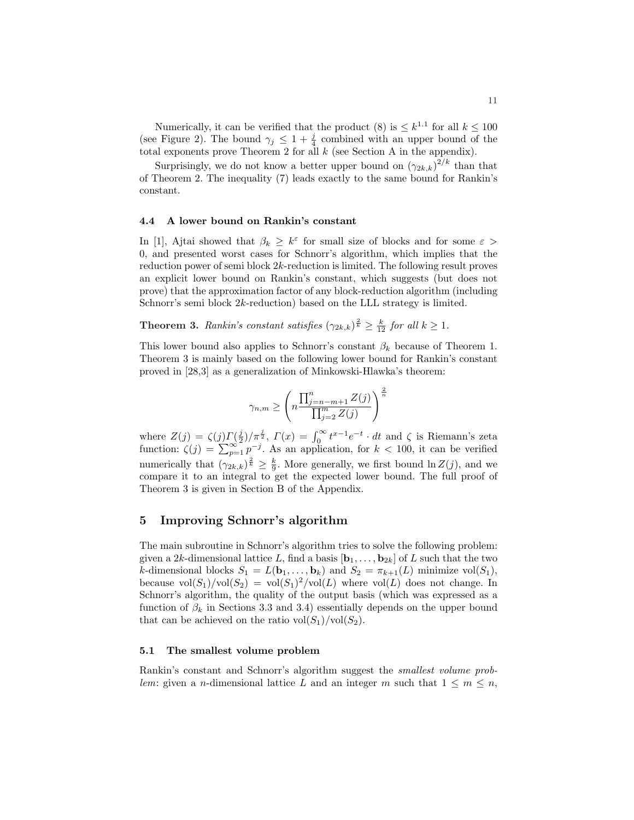<span id="page-10-0"></span>Numerically, it can be verified that the product [\(8\)](#page-9-0) is  $\leq k^{1.1}$  for all  $k \leq 100$ (see Figure [2\)](#page-18-0). The bound  $\gamma_j \leq 1 + \frac{j}{4}$  combined with an upper bound of the total exponents prove Theorem [2](#page-9-0) for all  $k$  (see Section [A](#page-17-0) in the appendix).

Surprisingly, we do not know a better upper bound on  $(\gamma_{2k,k})^{2/k}$  than that of Theorem [2.](#page-9-0) The inequality [\(7\)](#page-9-0) leads exactly to the same bound for Rankin's constant.

#### 4.4 A lower bound on Rankin's constant

In [\[1\]](#page-16-0), Ajtai showed that  $\beta_k \geq k^{\varepsilon}$  for small size of blocks and for some  $\varepsilon >$ 0, and presented worst cases for Schnorr's algorithm, which implies that the reduction power of semi block 2k-reduction is limited. The following result proves an explicit lower bound on Rankin's constant, which suggests (but does not prove) that the approximation factor of any block-reduction algorithm (including Schnorr's semi block 2k-reduction) based on the LLL strategy is limited.

**Theorem 3.** Rankin's constant satisfies  $(\gamma_{2k,k})^{\frac{2}{k}} \geq \frac{k}{12}$  for all  $k \geq 1$ .

This lower bound also applies to Schnorr's constant  $\beta_k$  because of Theorem [1.](#page-9-0) Theorem 3 is mainly based on the following lower bound for Rankin's constant proved in [\[28](#page-17-0)[,3\]](#page-16-0) as a generalization of Minkowski-Hlawka's theorem:

$$
\gamma_{n,m} \ge \left( n \frac{\prod_{j=n-m+1}^n Z(j)}{\prod_{j=2}^m Z(j)} \right)^{\frac{2}{n}}
$$

where  $Z(j) = \zeta(j)\Gamma(\frac{j}{2})/\pi^{\frac{j}{2}}, \Gamma(x) = \int_0^\infty t^{x-1}e^{-t} \cdot dt$  and  $\zeta$  is Riemann's zeta function:  $\zeta(j) = \sum_{p=1}^\infty p^{-j}$ . As an application, for  $k < 100$ , it can be verified numerically that  $(\gamma_{2k,k})^{\frac{2}{k}} \geq \frac{k}{9}$ . More generally, we first bound  $\ln Z(j)$ , and we compare it to an integral to get the expected lower bound. The full proof of Theorem 3 is given in Section [B](#page-18-0) of the Appendix.

## 5 Improving Schnorr's algorithm

The main subroutine in Schnorr's algorithm tries to solve the following problem: given a 2k-dimensional lattice L, find a basis  $[\mathbf{b}_1, \ldots, \mathbf{b}_{2k}]$  of L such that the two k-dimensional blocks  $S_1 = L(\mathbf{b}_1, \dots, \mathbf{b}_k)$  and  $S_2 = \pi_{k+1}(L)$  minimize vol $(S_1)$ , because  $vol(S_1)/vol(S_2) = vol(S_1)^2/vol(L)$  where  $vol(L)$  does not change. In Schnorr's algorithm, the quality of the output basis (which was expressed as a function of  $\beta_k$  in Sections [3.3](#page-8-0) and [3.4\)](#page-8-0) essentially depends on the upper bound that can be achieved on the ratio  $\text{vol}(S_1)/\text{vol}(S_2)$ .

#### 5.1 The smallest volume problem

Rankin's constant and Schnorr's algorithm suggest the smallest volume problem: given a *n*-dimensional lattice L and an integer m such that  $1 \leq m \leq n$ ,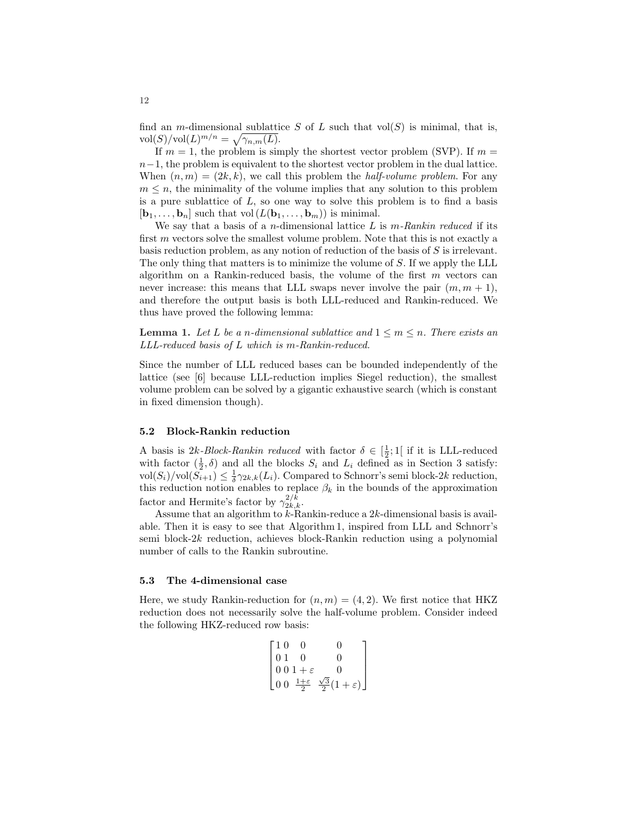find an *m*-dimensional sublattice S of L such that  $vol(S)$  is minimal, that is,  $\text{vol}(S)/\text{vol}(L)^{m/n} = \sqrt{\gamma_{n,m}(L)}.$ 

If  $m = 1$ , the problem is simply the shortest vector problem (SVP). If  $m =$  $n-1$ , the problem is equivalent to the shortest vector problem in the dual lattice. When  $(n, m) = (2k, k)$ , we call this problem the *half-volume problem*. For any  $m \leq n$ , the minimality of the volume implies that any solution to this problem is a pure sublattice of  $L$ , so one way to solve this problem is to find a basis  $[\mathbf{b}_1, \ldots, \mathbf{b}_n]$  such that vol  $(L(\mathbf{b}_1, \ldots, \mathbf{b}_m))$  is minimal.

We say that a basis of a *n*-dimensional lattice L is  $m$ -Rankin reduced if its first  $m$  vectors solve the smallest volume problem. Note that this is not exactly a basis reduction problem, as any notion of reduction of the basis of S is irrelevant. The only thing that matters is to minimize the volume of S. If we apply the LLL algorithm on a Rankin-reduced basis, the volume of the first  $m$  vectors can never increase: this means that LLL swaps never involve the pair  $(m, m + 1)$ , and therefore the output basis is both LLL-reduced and Rankin-reduced. We thus have proved the following lemma:

**Lemma 1.** Let L be a n-dimensional sublattice and  $1 \leq m \leq n$ . There exists an LLL-reduced basis of L which is m-Rankin-reduced.

Since the number of LLL reduced bases can be bounded independently of the lattice (see [\[6\]](#page-16-0) because LLL-reduction implies Siegel reduction), the smallest volume problem can be solved by a gigantic exhaustive search (which is constant in fixed dimension though).

#### 5.2 Block-Rankin reduction

A basis is  $2k$ -Block-Rankin reduced with factor  $\delta \in \left[\frac{1}{2};1\right]$  if it is LLL-reduced with factor  $(\frac{1}{2}, \delta)$  and all the blocks  $S_i$  and  $L_i$  defined as in Section [3](#page-5-0) satisfy:  $\text{vol}(S_i)/\text{vol}(\tilde{S_{i+1}}) \leq \frac{1}{\delta}\gamma_{2k,k}(L_i)$ . Compared to Schnorr's semi block-2k reduction, this reduction notion enables to replace  $\beta_k$  in the bounds of the approximation factor and Hermite's factor by  $\gamma_{2k,k}^{2/k}$ .

Assume that an algorithm to  $k$ -Rankin-reduce a  $2k$ -dimensional basis is available. Then it is easy to see that Algorithm 1, inspired from LLL and Schnorr's semi block-2k reduction, achieves block-Rankin reduction using a polynomial number of calls to the Rankin subroutine.

#### 5.3 The 4-dimensional case

Here, we study Rankin-reduction for  $(n, m) = (4, 2)$ . We first notice that HKZ reduction does not necessarily solve the half-volume problem. Consider indeed the following HKZ-reduced row basis:

 $\overline{a}$ 

 $\mathbf{r}$  +  $\alpha$ 

$$
\begin{bmatrix} 1 & 0 & 0 & 0 \\ 0 & 1 & 0 & 0 \\ 0 & 0 & 1 + \varepsilon & 0 \\ 0 & 0 & \frac{1+\varepsilon}{2} & \frac{\sqrt{3}}{2}(1+\varepsilon) \end{bmatrix}
$$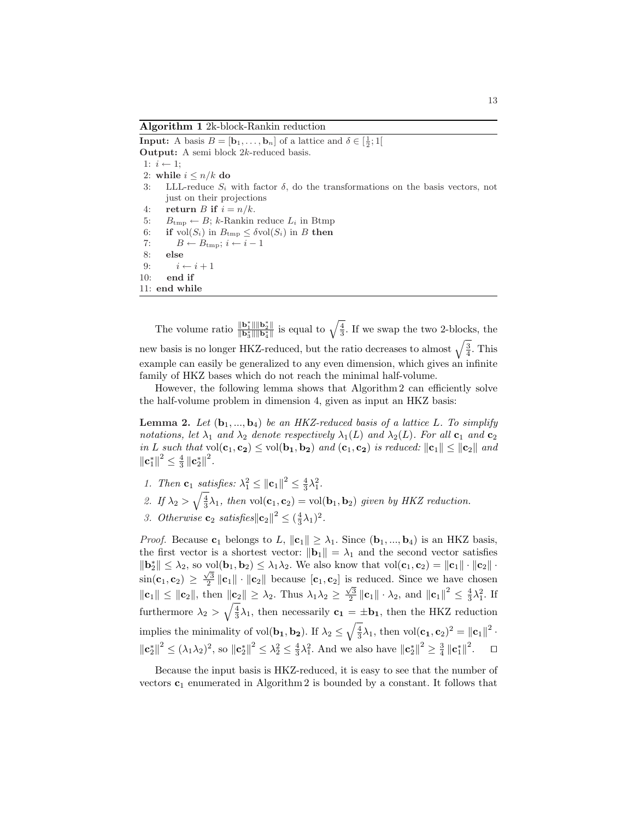Algorithm 1 2k-block-Rankin reduction

**Input:** A basis  $B = [\mathbf{b}_1, \dots, \mathbf{b}_n]$  of a lattice and  $\delta \in [\frac{1}{2}; 1]$ Output: A semi block 2k-reduced basis. 1:  $i \leftarrow 1$ ; 2: while  $i \leq n/k$  do 3: LLL-reduce  $S_i$  with factor  $\delta$ , do the transformations on the basis vectors, not just on their projections 4: return B if  $i = n/k$ . 5:  $B_{\text{tmp}} \leftarrow B$ ; k-Rankin reduce  $L_i$  in Btmp 6: if  $vol(S_i)$  in  $B_{\text{tmp}} \leq \delta vol(S_i)$  in B then 7:  $B \leftarrow B_{\text{tmp}}; i \leftarrow i - 1$ 8: else 9:  $i \leftarrow i + 1$ 10: end if 11: end while

The volume ratio  $\frac{\|\mathbf{b}_1^*\| \|\mathbf{b}_2^*\|}{\|\mathbf{b}_3^*\| \|\mathbf{b}_4^*\|}$  is equal to  $\sqrt{\frac{4}{3}}$ . If we swap the two 2-blocks, the new basis is no longer HKZ-reduced, but the ratio decreases to almost  $\sqrt{\frac{3}{4}}$ . This example can easily be generalized to any even dimension, which gives an infinite family of HKZ bases which do not reach the minimal half-volume.

However, the following lemma shows that Algorithm 2 can efficiently solve the half-volume problem in dimension 4, given as input an HKZ basis:

**Lemma 2.** Let  $(b_1, ..., b_4)$  be an HKZ-reduced basis of a lattice L. To simplify notations, let  $\lambda_1$  and  $\lambda_2$  denote respectively  $\lambda_1(L)$  and  $\lambda_2(L)$ . For all  $\mathbf{c}_1$  and  $\mathbf{c}_2$ in L such that  $vol(c_1, c_2) \le vol(b_1, b_2)$  and  $(c_1, c_2)$  is reduced:  $||c_1|| \le ||c_2||$  and  $\left\Vert \mathbf{c}_{1}^{\ast}\right\Vert ^{2}\leq\frac{4}{3}\left\Vert \mathbf{c}_{2}^{\ast}\right\Vert ^{2}.$ 

- 1. Then  $\mathbf{c}_1$  satisfies:  $\lambda_1^2 \leq ||\mathbf{c}_1||^2 \leq \frac{4}{3}\lambda_1^2$ .
- 2. If  $\lambda_2 > \sqrt{\frac{4}{3}}\lambda_1$ , then vol $(c_1, c_2) = \text{vol}(\mathbf{b}_1, \mathbf{b}_2)$  given by HKZ reduction.
- 3. Otherwise  $\mathbf{c}_2$  satisfies $||\mathbf{c}_2||^2 \leq (\frac{4}{3}\lambda_1)^2$ .

*Proof.* Because  $c_1$  belongs to L,  $||c_1|| \geq \lambda_1$ . Since  $(b_1, ..., b_4)$  is an HKZ basis, the first vector is a shortest vector:  $\|\mathbf{b}_1\| = \lambda_1$  and the second vector satisfies  $\|\mathbf{b}_2^*\| \leq \lambda_2$ , so  $\text{vol}(\mathbf{b}_1, \mathbf{b}_2) \leq \lambda_1 \lambda_2$ . We also know that  $\text{vol}(\mathbf{c}_1, \mathbf{c}_2) = \|\mathbf{c}_1\| \cdot \|\mathbf{c}_2\|$ .  $\sin(c_1, c_2) \geq \frac{\sqrt{3}}{2} ||c_1|| \cdot ||c_2||$  because  $[c_1, c_2]$  is reduced. Since we have chosen  $\|\mathbf{c}_1\| \leq \|\mathbf{c}_2\|$ , then  $\|\mathbf{c}_2\| \geq \lambda_2$ . Thus  $\lambda_1\lambda_2 \geq \frac{\sqrt{3}}{2} \|\mathbf{c}_1\| \cdot \lambda_2$ , and  $\|\mathbf{c}_1\|^2 \leq \frac{4}{3}\lambda_1^2$ . If furthermore  $\lambda_2 > \sqrt{\frac{4}{3}}\lambda_1$ , then necessarily  $\mathbf{c}_1 = \pm \mathbf{b}_1$ , then the HKZ reduction implies the minimality of vol $(\mathbf{b_1}, \mathbf{b_2})$ . If  $\lambda_2 \leq$  $\sqrt{\frac{4}{3}}\lambda_1$ , then vol $(\mathbf{c}_1, \mathbf{c}_2)^2 = ||\mathbf{c}_1||^2$ .  $\|\mathbf{c}_2^*\|^2 \le (\lambda_1\lambda_2)^2$ , so  $\|\mathbf{c}_2^*\|^2 \le \lambda_2^2 \le \frac{4}{3}\lambda_1^2$ . And we also have  $\|\mathbf{c}_2^*\|^2 \ge \frac{3}{4}\|\mathbf{c}_1^*\|^2$ .  $\Box$ 

Because the input basis is HKZ-reduced, it is easy to see that the number of vectors  $c_1$  enumerated in Algorithm 2 is bounded by a constant. It follows that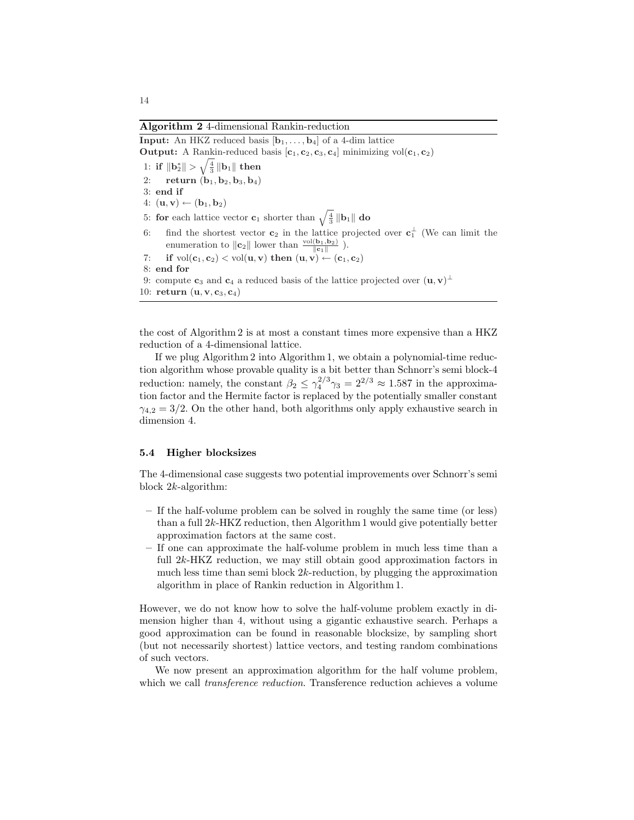Algorithm 2 4-dimensional Rankin-reduction

**Input:** An HKZ reduced basis  $[\mathbf{b}_1, \ldots, \mathbf{b}_4]$  of a 4-dim lattice **Output:** A Rankin-reduced basis  $[c_1, c_2, c_3, c_4]$  minimizing vol $(c_1, c_2)$  $1\!\!:\,$  if  $\|\mathbf{b}_2^*\| > \sqrt{\frac{4}{3}}\,\|\mathbf{b}_1\|$  then 2: return  $(b_1, b_2, b_3, b_4)$ 3: end if 4:  $(\mathbf{u}, \mathbf{v}) \leftarrow (\mathbf{b}_1, \mathbf{b}_2)$ 4:  $(\mathbf{u}, \mathbf{v}) \leftarrow (\mathbf{b}_1, \mathbf{b}_2)$ <br>5: for each lattice vector  $\mathbf{c}_1$  shorter than  $\sqrt{\frac{4}{3}} ||\mathbf{b}_1||$  do 6: find the shortest vector  $c_2$  in the lattice projected over  $c_1^{\perp}$  (We can limit the enumeration to  $||\mathbf{c}_2||$  lower than  $\frac{\text{vol}(\mathbf{b}_1, \mathbf{b}_2)}{||\mathbf{c}_1||}$ . 7: if  $vol(c_1, c_2) < vol(u, v)$  then  $(u, v) \leftarrow (c_1, c_2)$ 8: end for 9: compute  $c_3$  and  $c_4$  a reduced basis of the lattice projected over  $(\mathbf{u}, \mathbf{v})^{\perp}$ 10: return  $(\mathbf{u}, \mathbf{v}, \mathbf{c}_3, \mathbf{c}_4)$ 

the cost of Algorithm 2 is at most a constant times more expensive than a HKZ reduction of a 4-dimensional lattice.

If we plug Algorithm 2 into Algorithm 1, we obtain a polynomial-time reduction algorithm whose provable quality is a bit better than Schnorr's semi block-4 reduction: namely, the constant  $\beta_2 \leq \gamma_4^{2/3} \gamma_3 = 2^{2/3} \approx 1.587$  in the approximation factor and the Hermite factor is replaced by the potentially smaller constant  $\gamma_{4,2} = 3/2$ . On the other hand, both algorithms only apply exhaustive search in dimension 4.

#### 5.4 Higher blocksizes

The 4-dimensional case suggests two potential improvements over Schnorr's semi block 2k-algorithm:

- If the half-volume problem can be solved in roughly the same time (or less) than a full 2k-HKZ reduction, then Algorithm 1 would give potentially better approximation factors at the same cost.
- If one can approximate the half-volume problem in much less time than a full 2k-HKZ reduction, we may still obtain good approximation factors in much less time than semi block 2k-reduction, by plugging the approximation algorithm in place of Rankin reduction in Algorithm 1.

However, we do not know how to solve the half-volume problem exactly in dimension higher than 4, without using a gigantic exhaustive search. Perhaps a good approximation can be found in reasonable blocksize, by sampling short (but not necessarily shortest) lattice vectors, and testing random combinations of such vectors.

We now present an approximation algorithm for the half volume problem, which we call *transference reduction*. Transference reduction achieves a volume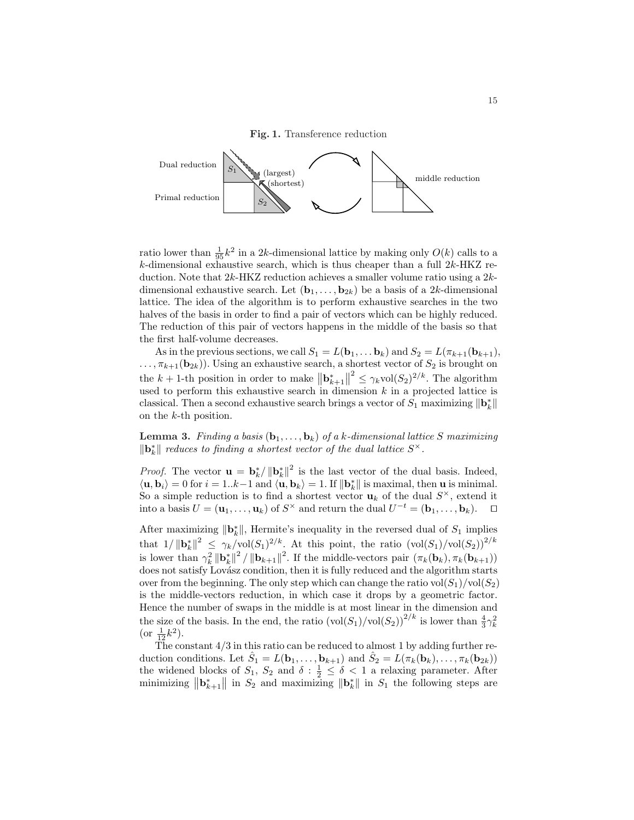Fig. 1. Transference reduction



ratio lower than  $\frac{1}{95}k^2$  in a 2k-dimensional lattice by making only  $O(k)$  calls to a  $k$ -dimensional exhaustive search, which is thus cheaper than a full  $2k$ -HKZ reduction. Note that 2k-HKZ reduction achieves a smaller volume ratio using a 2kdimensional exhaustive search. Let  $(\mathbf{b}_1, \ldots, \mathbf{b}_{2k})$  be a basis of a 2k-dimensional lattice. The idea of the algorithm is to perform exhaustive searches in the two halves of the basis in order to find a pair of vectors which can be highly reduced. The reduction of this pair of vectors happens in the middle of the basis so that the first half-volume decreases.

As in the previous sections, we call  $S_1 = L(\mathbf{b}_1, \dots \mathbf{b}_k)$  and  $S_2 = L(\pi_{k+1}(\mathbf{b}_{k+1}),$  $\ldots, \pi_{k+1}(\mathbf{b}_{2k})$ . Using an exhaustive search, a shortest vector of  $S_2$  is brought on the  $k + 1$ -th position in order to make  $\|\mathbf{b}_{k+1}^*$ shortest vector of  $D_2$  is brought on<br> $\Big\|^2 \leq \gamma_k \text{vol}(\mathcal{S}_2)^{2/k}$ . The algorithm used to perform this exhaustive search in dimension  $k$  in a projected lattice is classical. Then a second exhaustive search brings a vector of  $S_1$  maximizing  $\|\mathbf{b}_k^*\|$ on the k-th position.

**Lemma 3.** Finding a basis  $(b_1, \ldots, b_k)$  of a k-dimensional lattice S maximizing  $\|\mathbf{b}_k^*\|$  reduces to finding a shortest vector of the dual lattice  $S^{\times}.$ 

*Proof.* The vector  $\mathbf{u} = \mathbf{b}_k^* / ||\mathbf{b}_k^*||^2$  is the last vector of the dual basis. Indeed,  $\langle \mathbf{u}, \mathbf{b}_i \rangle = 0$  for  $i = 1..k-1$  and  $\langle \mathbf{u}, \mathbf{b}_k \rangle = 1$ . If  $\|\mathbf{b}_k^*\|$  is maximal, then **u** is minimal. So a simple reduction is to find a shortest vector  $\mathbf{u}_k$  of the dual  $S^{\times}$ , extend it into a basis  $U = (\mathbf{u}_1, \dots, \mathbf{u}_k)$  of  $S^{\times}$  and return the dual  $U^{-t} = (\mathbf{b}_1, \dots, \mathbf{b}_k)$ .  $\Box$ 

After maximizing  $\|\mathbf{b}_k^*\|$ , Hermite's inequality in the reversed dual of  $S_1$  implies that  $1/ ||\mathbf{b}_k^*||^2 \leq \gamma_k/\text{vol}(S_1)^{2/k}$ . At this point, the ratio  $(\text{vol}(S_1)/\text{vol}(S_2))^{2/k}$ is lower than  $\gamma_k^2 \left\| \mathbf{b}_k^* \right\|^2 / \left\| \mathbf{b}_{k+1} \right\|^2$ . If the middle-vectors pair  $(\pi_k(\mathbf{b}_k), \pi_k(\mathbf{b}_{k+1}))$ does not satisfy Lovász condition, then it is fully reduced and the algorithm starts over from the beginning. The only step which can change the ratio  $\text{vol}(S_1)/\text{vol}(S_2)$ is the middle-vectors reduction, in which case it drops by a geometric factor. Hence the number of swaps in the middle is at most linear in the dimension and the size of the basis. In the end, the ratio  $(\text{vol}(S_1)/\text{vol}(S_2))^{2/k}$  is lower than  $\frac{4}{3}\gamma_k^2$ (or  $\frac{1}{12}k^2$ ).

The constant 4/3 in this ratio can be reduced to almost 1 by adding further reduction conditions. Let  $\hat{S}_1 = L(\mathbf{b}_1, \dots, \mathbf{b}_{k+1})$  and  $\hat{S}_2 = L(\pi_k(\mathbf{b}_k), \dots, \pi_k(\mathbf{b}_{2k}))$ the widened blocks of  $S_1$ ,  $S_2$  and  $\delta$ :  $\frac{1}{2} \leq \delta < 1$  a relaxing parameter. After minimizing  $\|\mathbf{b}_{k+1}^*\|$  in  $S_2$  and maximizing  $\|\mathbf{b}_k^*\|$  in  $S_1$  the following steps are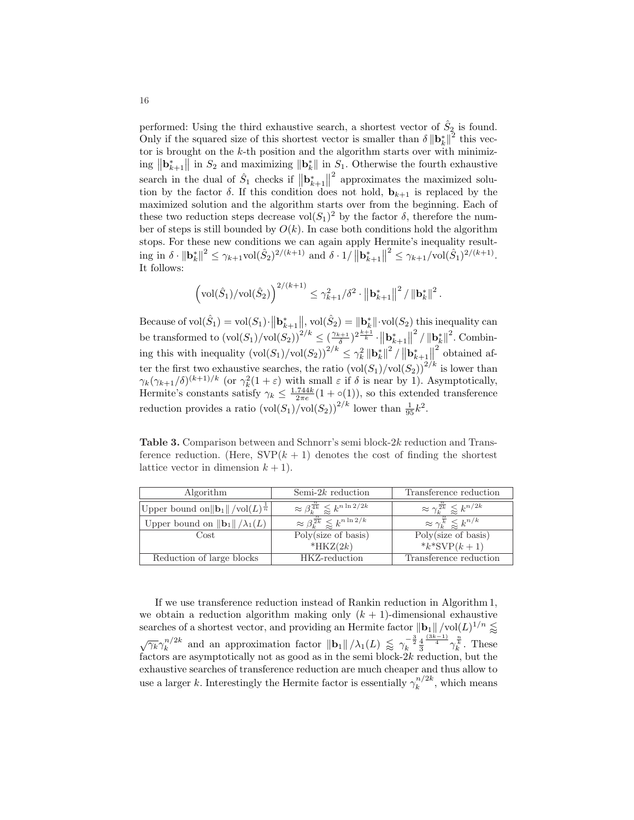performed: Using the third exhaustive search, a shortest vector of  $\hat{S}_2$  is found. Only if the squared size of this shortest vector is smaller than  $\delta \| \mathbf{b}_{k}^{*} \|^{2}$  this vector is brought on the  $k$ -th position and the algorithm starts over with minimiz- $\lim_{k \to \infty} ||\mathbf{b}_{k+1}^*||$  in  $S_2$  and maximizing  $||\mathbf{b}_{k}^*||$  in  $S_1$ . Otherwise the fourth exhaustive search in the dual of  $\hat{S}_1$  checks if  $\mathbf{b}_{k+1}^*$  $\|^{2}$  approximates the maximized solution by the factor  $\delta$ . If this condition does not hold,  $\mathbf{b}_{k+1}$  is replaced by the maximized solution and the algorithm starts over from the beginning. Each of these two reduction steps decrease  $\text{vol}(S_1)^2$  by the factor  $\delta$ , therefore the number of steps is still bounded by  $O(k)$ . In case both conditions hold the algorithm stops. For these new conditions we can again apply Hermite's inequality resultstops. For these new conditions we can again apply 11<br>ing in  $\delta \cdot ||\mathbf{b}_k^*||^2 \leq \gamma_{k+1} \text{vol}(\hat{S}_2)^{2/(k+1)}$  and  $\delta \cdot 1/||\mathbf{b}_{k+1}^*||^2$ ernine s inequality result-<br> $\left\|\right|^2 \leq \gamma_{k+1}/\text{vol}(\hat{S}_1)^{2/(k+1)}$ . It follows:

$$
\left(\mathrm{vol}(\hat{S}_1)/\mathrm{vol}(\hat{S}_2)\right)^{2/(k+1)}\leq \gamma_{k+1}^2/\delta^2\cdot\left\|\mathbf{b}_{k+1}^*\right\|^2/\left\|\mathbf{b}_{k}^*\right\|^2.
$$

Because of  $\text{vol}(\hat{S}_1) = \text{vol}(S_1)$ .  $\|\mathbf{b}_{k+1}^{*}\|$  $\Vert$ , vol $(\hat{S}_2) = \Vert \mathbf{b}_{k}^{*} \Vert \cdot \text{vol}(S_2)$  this inequality can be transformed to  $(\text{vol}(S_1)/\text{vol}(S_2))^{2/k} \leq (\frac{\gamma_{k+1}}{\delta})^{2\frac{k+1}{k}}$ .  $\sum_{k+1}^{\infty}$  $\|\mathbf{a}^2/\|\mathbf{b}_k^*\|^2$ . Combining this with inequality  $(\text{vol}(S_1)/\text{vol}(S_2))^{2/k} \leq \gamma_k^2 ||\mathbf{b}_k^*||^2 /$  $\frac{1}{n}$ <br> $\left\| \mathbf{b}_{k+1}^{*} \right\|$  $\left\| \frac{\mathbf{v}_{k}}{\epsilon} \right\|$  obtained after the first two exhaustive searches, the ratio  $(\text{vol}(S_1)/\text{vol}(S_2))^{2/k}$  is lower than  $\gamma_k(\gamma_{k+1}/\delta)^{(k+1)/k}$  (or  $\gamma_k^2(1+\varepsilon)$  with small  $\varepsilon$  if  $\delta$  is near by 1). Asymptotically, Hermite's constants satisfy  $\gamma_k \leq \frac{1.744k}{2\pi\epsilon}(1 + o(1))$ , so this extended transference reduction provides a ratio  $(\text{vol}(S_1)/\text{vol}(S_2))^{2/k}$  lower than  $\frac{1}{95}k^2$ .

Table 3. Comparison between and Schnorr's semi block-2k reduction and Transference reduction. (Here,  $SVP(k + 1)$  denotes the cost of finding the shortest lattice vector in dimension  $k + 1$ .

| Algorithm                                                       | Semi- $2k$ reduction                                       | Transference reduction                                 |
|-----------------------------------------------------------------|------------------------------------------------------------|--------------------------------------------------------|
| Upper bound on $  \mathbf{b}_1   / \text{vol}(L)^{\frac{1}{n}}$ | $\approx \beta_k^{\frac{n}{4k}} \leq k^{n \ln 2/2k}$       | $\approx \gamma_k^{\frac{1}{2k}} \lessapprox k^{n/2k}$ |
| Upper bound on $\ \mathbf{b}_1\ /\lambda_1(L)$                  | $\approx \beta_k^{\frac{n}{2k}} \lessapprox k^{n \ln 2/k}$ | $\approx \gamma^{\frac{n}{k}}_k \leqslant k^{n/k}$     |
| Cost                                                            | Poly(size of basis)                                        | Poly(size of basis)                                    |
|                                                                 | $*HKZ(2k)$                                                 | * $k$ *SVP $(k + 1)$                                   |
| Reduction of large blocks                                       | HKZ-reduction                                              | Transference reduction                                 |

If we use transference reduction instead of Rankin reduction in Algorithm 1, we obtain a reduction algorithm making only  $(k + 1)$ -dimensional exhaustive searches of a shortest vector, and providing an Hermite factor  $\|\mathbf{b}_1\| / \text{vol}(L)^{1/n} \lessapprox$  $\sqrt{\gamma_k} \gamma_k^{n/2k}$  $\int_k^{n/2k}$  and an approximation factor  $\|\mathbf{b}_1\|/\lambda_1(L) \leq \gamma_k^{-\frac{3}{2}} \frac{4}{3}$  $\frac{\frac{(3k-1)}{4}}{\gamma_k^{\frac{n}{k}}}$ . These factors are asymptotically not as good as in the semi block- $2k$  reduction, but the exhaustive searches of transference reduction are much cheaper and thus allow to use a larger k. Interestingly the Hermite factor is essentially  $\gamma_k^{n/2k}$  $\binom{n}{k}$ , which means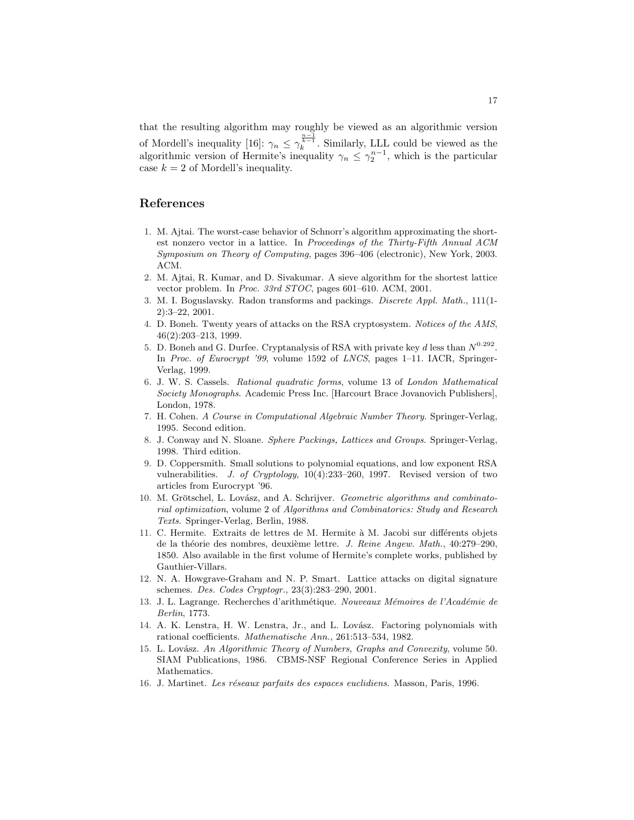<span id="page-16-0"></span>that the resulting algorithm may roughly be viewed as an algorithmic version of Mordell's inequality [16]:  $\gamma_n \leq \gamma_k^{\frac{n-1}{k-1}}$ . Similarly, LLL could be viewed as the algorithmic version of Hermite's inequality  $\gamma_n \leq \gamma_2^{n-1}$ , which is the particular case  $k = 2$  of Mordell's inequality.

# References

- 1. M. Ajtai. The worst-case behavior of Schnorr's algorithm approximating the shortest nonzero vector in a lattice. In Proceedings of the Thirty-Fifth Annual ACM Symposium on Theory of Computing, pages 396–406 (electronic), New York, 2003. ACM.
- 2. M. Ajtai, R. Kumar, and D. Sivakumar. A sieve algorithm for the shortest lattice vector problem. In Proc. 33rd STOC, pages 601–610. ACM, 2001.
- 3. M. I. Boguslavsky. Radon transforms and packings. Discrete Appl. Math., 111(1- 2):3–22, 2001.
- 4. D. Boneh. Twenty years of attacks on the RSA cryptosystem. Notices of the AMS, 46(2):203–213, 1999.
- 5. D. Boneh and G. Durfee. Cryptanalysis of RSA with private key d less than  $N^{0.292}$ . In Proc. of Eurocrypt '99, volume 1592 of LNCS, pages 1-11. IACR, Springer-Verlag, 1999.
- 6. J. W. S. Cassels. Rational quadratic forms, volume 13 of London Mathematical Society Monographs. Academic Press Inc. [Harcourt Brace Jovanovich Publishers], London, 1978.
- 7. H. Cohen. A Course in Computational Algebraic Number Theory. Springer-Verlag, 1995. Second edition.
- 8. J. Conway and N. Sloane. Sphere Packings, Lattices and Groups. Springer-Verlag, 1998. Third edition.
- 9. D. Coppersmith. Small solutions to polynomial equations, and low exponent RSA vulnerabilities. J. of Cryptology, 10(4):233–260, 1997. Revised version of two articles from Eurocrypt '96.
- 10. M. Grötschel, L. Lovász, and A. Schrijver. Geometric algorithms and combinatorial optimization, volume 2 of Algorithms and Combinatorics: Study and Research Texts. Springer-Verlag, Berlin, 1988.
- 11. C. Hermite. Extraits de lettres de M. Hermite à M. Jacobi sur différents objets de la théorie des nombres, deuxième lettre. *J. Reine Angew. Math.*, 40:279–290, 1850. Also available in the first volume of Hermite's complete works, published by Gauthier-Villars.
- 12. N. A. Howgrave-Graham and N. P. Smart. Lattice attacks on digital signature schemes. Des. Codes Cryptogr., 23(3):283–290, 2001.
- 13. J. L. Lagrange. Recherches d'arithmétique. Nouveaux Mémoires de l'Académie de Berlin, 1773.
- 14. A. K. Lenstra, H. W. Lenstra, Jr., and L. Lovász. Factoring polynomials with rational coefficients. Mathematische Ann., 261:513–534, 1982.
- 15. L. Lovász. An Algorithmic Theory of Numbers, Graphs and Convexity, volume 50. SIAM Publications, 1986. CBMS-NSF Regional Conference Series in Applied Mathematics.
- 16. J. Martinet. Les réseaux parfaits des espaces euclidiens. Masson, Paris, 1996.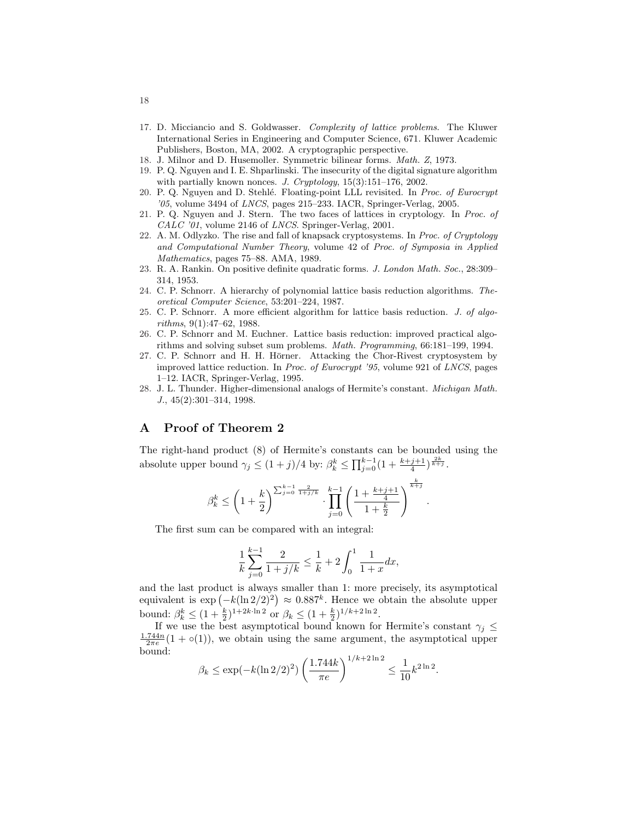- <span id="page-17-0"></span>17. D. Micciancio and S. Goldwasser. Complexity of lattice problems. The Kluwer International Series in Engineering and Computer Science, 671. Kluwer Academic Publishers, Boston, MA, 2002. A cryptographic perspective.
- 18. J. Milnor and D. Husemoller. Symmetric bilinear forms. Math. Z, 1973.
- 19. P. Q. Nguyen and I. E. Shparlinski. The insecurity of the digital signature algorithm with partially known nonces. J. Cryptology, 15(3):151–176, 2002.
- 20. P. Q. Nguyen and D. Stehlé. Floating-point LLL revisited. In Proc. of Eurocrypt '05, volume 3494 of LNCS, pages 215–233. IACR, Springer-Verlag, 2005.
- 21. P. Q. Nguyen and J. Stern. The two faces of lattices in cryptology. In Proc. of CALC '01, volume 2146 of LNCS. Springer-Verlag, 2001.
- 22. A. M. Odlyzko. The rise and fall of knapsack cryptosystems. In Proc. of Cryptology and Computational Number Theory, volume 42 of Proc. of Symposia in Applied Mathematics, pages 75–88. AMA, 1989.
- 23. R. A. Rankin. On positive definite quadratic forms. J. London Math. Soc., 28:309– 314, 1953.
- 24. C. P. Schnorr. A hierarchy of polynomial lattice basis reduction algorithms. Theoretical Computer Science, 53:201–224, 1987.
- 25. C. P. Schnorr. A more efficient algorithm for lattice basis reduction. J. of algorithms, 9(1):47–62, 1988.
- 26. C. P. Schnorr and M. Euchner. Lattice basis reduction: improved practical algorithms and solving subset sum problems. Math. Programming, 66:181–199, 1994.
- 27. C. P. Schnorr and H. H. Hörner. Attacking the Chor-Rivest cryptosystem by improved lattice reduction. In Proc. of Eurocrypt '95, volume 921 of LNCS, pages 1–12. IACR, Springer-Verlag, 1995.
- 28. J. L. Thunder. Higher-dimensional analogs of Hermite's constant. Michigan Math. J., 45(2):301–314, 1998.

## A Proof of Theorem [2](#page-9-0)

The right-hand product [\(8\)](#page-9-0) of Hermite's constants can be bounded using the absolute upper bound  $\gamma_j \leq (1+j)/4$  by:  $\beta_k^k \leq \prod_{j=0}^{k-1} (1+\frac{k+j+1}{4})^{\frac{2k}{k+j}}$ .

$$
\beta_k^k \le \left(1+\frac{k}{2}\right)^{\sum_{j=0}^{k-1} \frac{2}{1+j/k}} \cdot \prod_{j=0}^{k-1} \left(\frac{1+\frac{k+j+1}{4}}{1+\frac{k}{2}}\right)^{\frac{k}{k+j}}.
$$

The first sum can be compared with an integral:

$$
\frac{1}{k}\sum_{j=0}^{k-1}\frac{2}{1+j/k}\leq \frac{1}{k}+2\int_0^1\frac{1}{1+x}dx,
$$

and the last product is always smaller than 1: more precisely, its asymptotical and the last product is always smaller than 1: more precisely, its asymptotical<br>equivalent is  $\exp(-k(\ln 2/2)^2) \approx 0.887^k$ . Hence we obtain the absolute upper bound:  $\beta_k^k \leq (1 + \frac{k}{2})^{1+2k \cdot \ln 2}$  or  $\beta_k \leq (1 + \frac{k}{2})^{1/k + 2\ln 2}$ .

If we use the best asymptotical bound known for Hermite's constant  $\gamma_j \leq$  $\frac{1.744n}{2\pi e}(1 + o(1))$ , we obtain using the same argument, the asymptotical upper bound:  $\overline{a}$ 

$$
\beta_k \le \exp(-k(\ln 2/2)^2) \left(\frac{1.744k}{\pi e}\right)^{1/k + 2 \ln 2} \le \frac{1}{10} k^{2 \ln 2}.
$$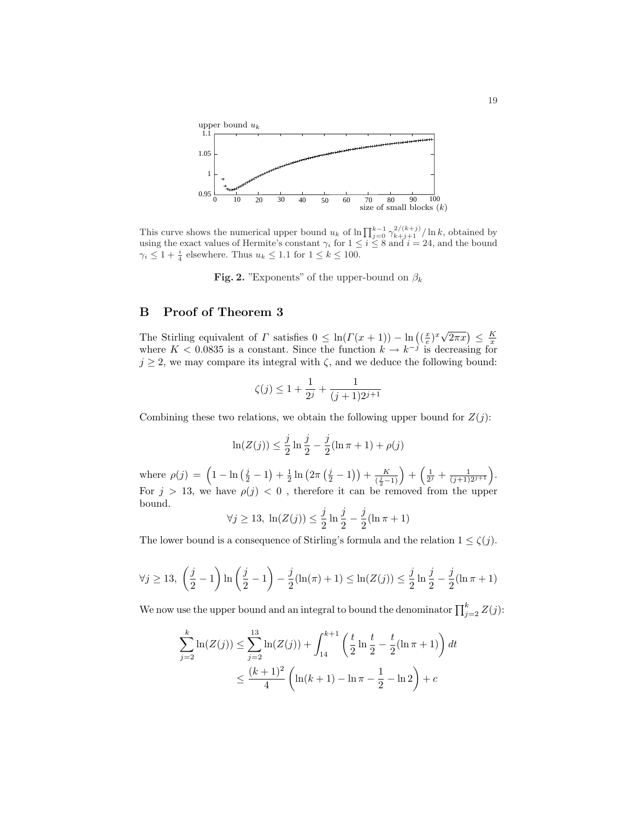<span id="page-18-0"></span>

This curve shows the numerical upper bound  $u_k$  of  $\ln \prod_{j=0}^{k-1} \gamma_{k+j+1}^{2/(k+j)} / \ln k$ , obtained by using the exact values of Hermite's constant  $\gamma_i$  for  $1 \leq i \leq 8$  and  $i = 24$ , and the bound  $\gamma_i \leq 1 + \frac{i}{4}$  elsewhere. Thus  $u_k \leq 1.1$  for  $1 \leq k \leq 100$ .

Fig. 2. "Exponents" of the upper-bound on  $\beta_k$ 

### B Proof of Theorem [3](#page-10-0)

The Stirling equivalent of  $\Gamma$  satisfies  $0 \leq \ln(\Gamma(x+1)) - \ln((\frac{x}{e})^x \sqrt{2\pi x}) \leq \frac{K}{x}$ <br>where  $K < 0.0835$  is a constant. Since the function  $k \to k^{-j}$  is decreasing for  $j \geq 2$ , we may compare its integral with  $\zeta$ , and we deduce the following bound:

$$
\zeta(j) \le 1 + \frac{1}{2^j} + \frac{1}{(j+1)2^{j+1}}
$$

Combining these two relations, we obtain the following upper bound for  $Z(j)$ :

$$
\ln(Z(j)) \le \frac{j}{2} \ln \frac{j}{2} - \frac{j}{2} (\ln \pi + 1) + \rho(j)
$$

where  $\rho(j) = \left(1 - \ln\left(\frac{j}{2} - 1\right)\right)$ ¢  $+\frac{1}{2}\ln\left(2\pi\right)$  $\left(\frac{j}{2} - 1\right) + \frac{K}{\left(\frac{j}{2}\right)}$  $\frac{K}{(\frac{j}{2}-1)}$  +  $\left(\frac{1}{2^j} + \frac{1}{(j+1)2^{j+1}}\right).$ For  $j > 13$ , we have  $\rho(j) < 0$ , therefore it can be removed from the upper bound.

$$
\forall j \ge 13, \ln(Z(j)) \le \frac{j}{2} \ln \frac{j}{2} - \frac{j}{2} (\ln \pi + 1)
$$

The lower bound is a consequence of Stirling's formula and the relation  $1 \leq \zeta(j)$ .

$$
\forall j \geq 13, \left(\frac{j}{2} - 1\right) \ln\left(\frac{j}{2} - 1\right) - \frac{j}{2}(\ln(\pi) + 1) \leq \ln(Z(j)) \leq \frac{j}{2} \ln\frac{j}{2} - \frac{j}{2}(\ln \pi + 1)
$$

We now use the upper bound and an integral to bound the denominator  $\prod_{j=2}^{k} Z(j)$ :

$$
\sum_{j=2}^{k} \ln(Z(j)) \le \sum_{j=2}^{13} \ln(Z(j)) + \int_{14}^{k+1} \left(\frac{t}{2} \ln \frac{t}{2} - \frac{t}{2} (\ln \pi + 1) \right) dt
$$
  

$$
\le \frac{(k+1)^2}{4} \left( \ln(k+1) - \ln \pi - \frac{1}{2} - \ln 2 \right) + c
$$